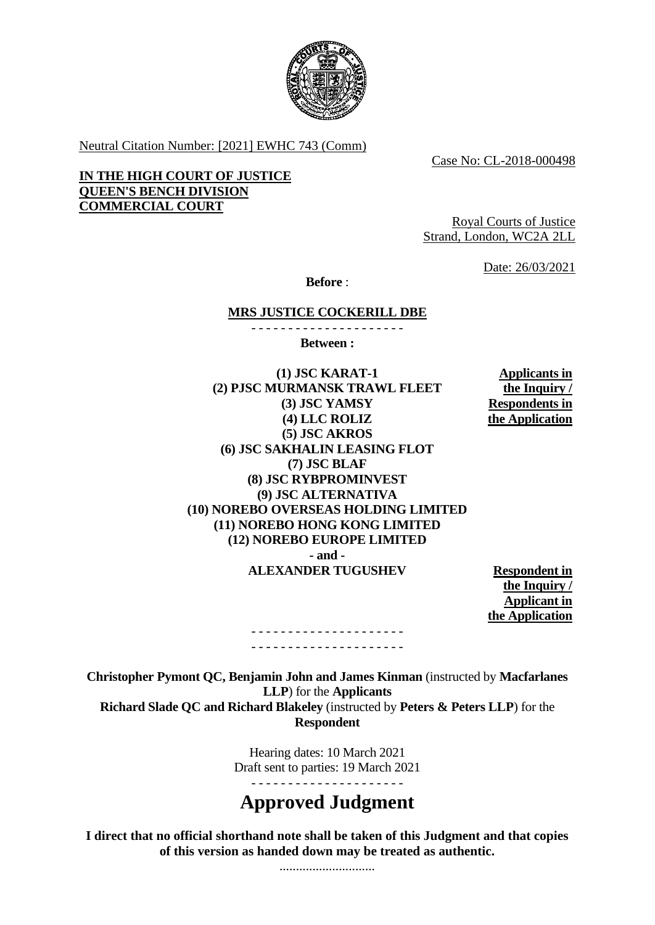

Neutral Citation Number: [2021] EWHC 743 (Comm)

Case No: CL-2018-000498

**IN THE HIGH COURT OF JUSTICE QUEEN'S BENCH DIVISION COMMERCIAL COURT**

Royal Courts of Justice Strand, London, WC2A 2LL

Date: 26/03/2021

**Before** :

#### **MRS JUSTICE COCKERILL DBE** - - - - - - - - - - - - - - - - - - - - -

**Between :**

**(1) JSC KARAT-1 (2) PJSC MURMANSK TRAWL FLEET (3) JSC YAMSY (4) LLC ROLIZ (5) JSC AKROS (6) JSC SAKHALIN LEASING FLOT (7) JSC BLAF (8) JSC RYBPROMINVEST (9) JSC ALTERNATIVA (10) NOREBO OVERSEAS HOLDING LIMITED (11) NOREBO HONG KONG LIMITED (12) NOREBO EUROPE LIMITED - and - ALEXANDER TUGUSHEV Respondent in** 

**Applicants in the Inquiry / Respondents in the Application**

**the Inquiry / Applicant in the Application**

**Christopher Pymont QC, Benjamin John and James Kinman** (instructed by **Macfarlanes LLP**) for the **Applicants Richard Slade QC and Richard Blakeley** (instructed by **Peters & Peters LLP**) for the **Respondent**

- - - - - - - - - - - - - - - - - - - - - - - - - - - - - - - - - - - - - - - - - -

Hearing dates: 10 March 2021 Draft sent to parties: 19 March 2021

# **Approved Judgment**

**I direct that no official shorthand note shall be taken of this Judgment and that copies of this version as handed down may be treated as authentic.**

.............................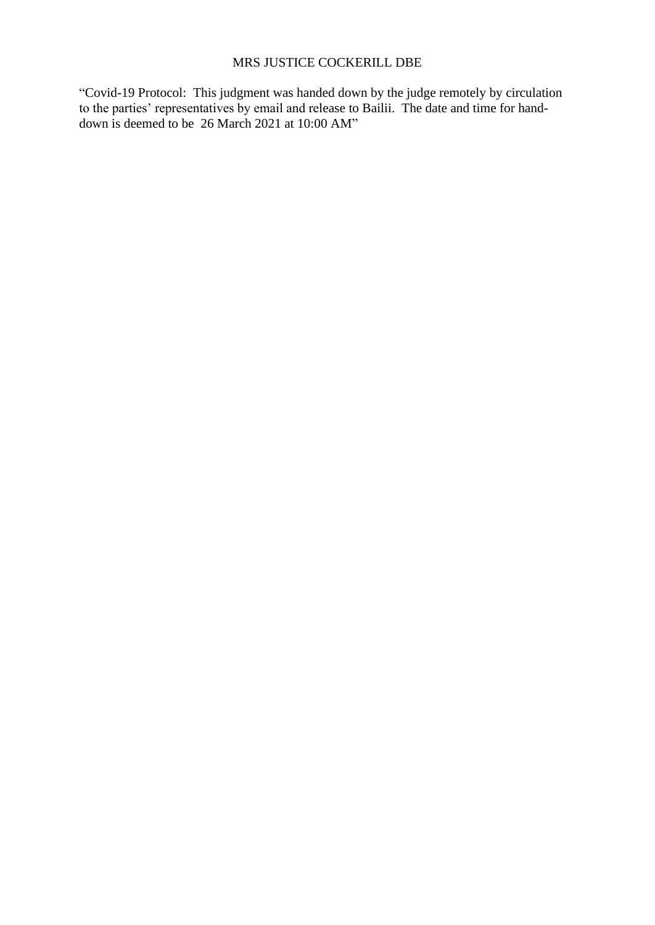#### MRS JUSTICE COCKERILL DBE

"Covid-19 Protocol: This judgment was handed down by the judge remotely by circulation to the parties' representatives by email and release to Bailii. The date and time for handdown is deemed to be 26 March 2021 at 10:00 AM"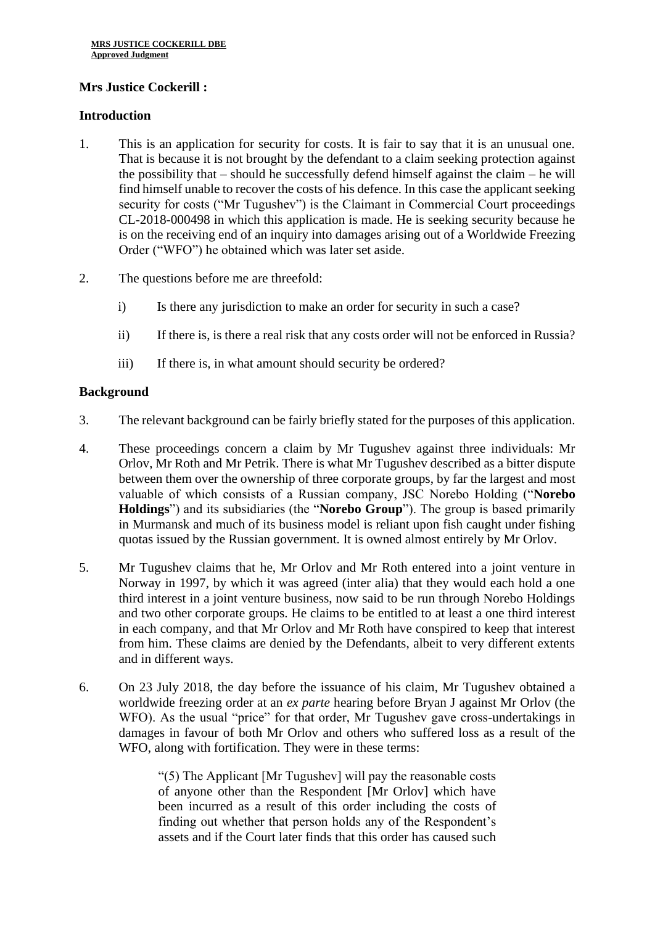## **Mrs Justice Cockerill :**

## **Introduction**

- 1. This is an application for security for costs. It is fair to say that it is an unusual one. That is because it is not brought by the defendant to a claim seeking protection against the possibility that – should he successfully defend himself against the claim – he will find himself unable to recover the costs of his defence. In this case the applicant seeking security for costs ("Mr Tugushev") is the Claimant in Commercial Court proceedings CL-2018-000498 in which this application is made. He is seeking security because he is on the receiving end of an inquiry into damages arising out of a Worldwide Freezing Order ("WFO") he obtained which was later set aside.
- 2. The questions before me are threefold:
	- i) Is there any jurisdiction to make an order for security in such a case?
	- ii) If there is, is there a real risk that any costs order will not be enforced in Russia?
	- iii) If there is, in what amount should security be ordered?

## **Background**

- 3. The relevant background can be fairly briefly stated for the purposes of this application.
- 4. These proceedings concern a claim by Mr Tugushev against three individuals: Mr Orlov, Mr Roth and Mr Petrik. There is what Mr Tugushev described as a bitter dispute between them over the ownership of three corporate groups, by far the largest and most valuable of which consists of a Russian company, JSC Norebo Holding ("**Norebo Holdings**") and its subsidiaries (the "**Norebo Group**"). The group is based primarily in Murmansk and much of its business model is reliant upon fish caught under fishing quotas issued by the Russian government. It is owned almost entirely by Mr Orlov.
- 5. Mr Tugushev claims that he, Mr Orlov and Mr Roth entered into a joint venture in Norway in 1997, by which it was agreed (inter alia) that they would each hold a one third interest in a joint venture business, now said to be run through Norebo Holdings and two other corporate groups. He claims to be entitled to at least a one third interest in each company, and that Mr Orlov and Mr Roth have conspired to keep that interest from him. These claims are denied by the Defendants, albeit to very different extents and in different ways.
- 6. On 23 July 2018, the day before the issuance of his claim, Mr Tugushev obtained a worldwide freezing order at an *ex parte* hearing before Bryan J against Mr Orlov (the WFO). As the usual "price" for that order, Mr Tugushev gave cross-undertakings in damages in favour of both Mr Orlov and others who suffered loss as a result of the WFO, along with fortification. They were in these terms:

"(5) The Applicant [Mr Tugushev] will pay the reasonable costs of anyone other than the Respondent [Mr Orlov] which have been incurred as a result of this order including the costs of finding out whether that person holds any of the Respondent's assets and if the Court later finds that this order has caused such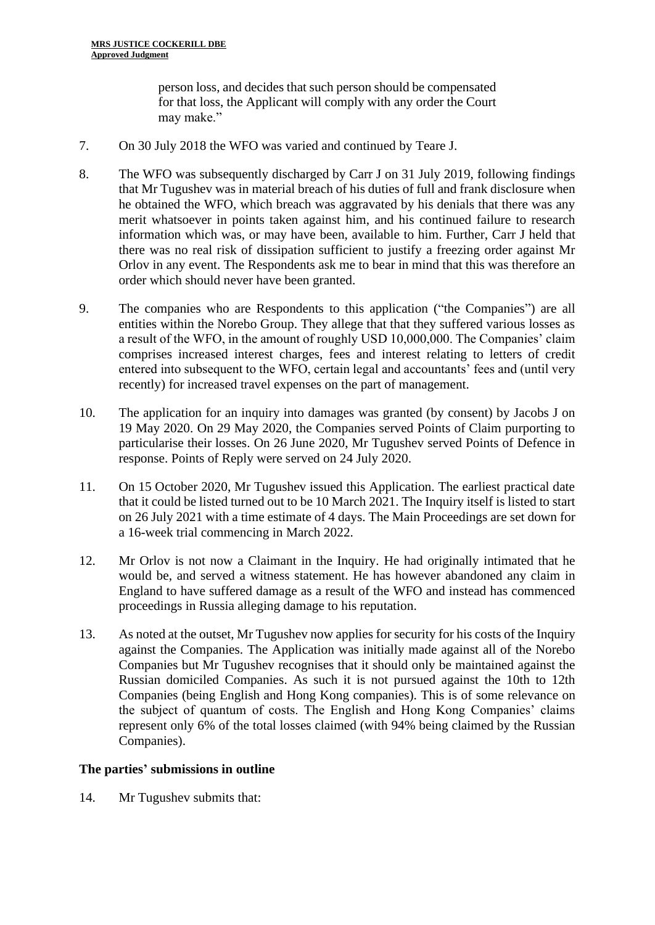person loss, and decides that such person should be compensated for that loss, the Applicant will comply with any order the Court may make."

- 7. On 30 July 2018 the WFO was varied and continued by Teare J.
- 8. The WFO was subsequently discharged by Carr J on 31 July 2019, following findings that Mr Tugushev was in material breach of his duties of full and frank disclosure when he obtained the WFO, which breach was aggravated by his denials that there was any merit whatsoever in points taken against him, and his continued failure to research information which was, or may have been, available to him. Further, Carr J held that there was no real risk of dissipation sufficient to justify a freezing order against Mr Orlov in any event. The Respondents ask me to bear in mind that this was therefore an order which should never have been granted.
- 9. The companies who are Respondents to this application ("the Companies") are all entities within the Norebo Group. They allege that that they suffered various losses as a result of the WFO, in the amount of roughly USD 10,000,000. The Companies' claim comprises increased interest charges, fees and interest relating to letters of credit entered into subsequent to the WFO, certain legal and accountants' fees and (until very recently) for increased travel expenses on the part of management.
- 10. The application for an inquiry into damages was granted (by consent) by Jacobs J on 19 May 2020. On 29 May 2020, the Companies served Points of Claim purporting to particularise their losses. On 26 June 2020, Mr Tugushev served Points of Defence in response. Points of Reply were served on 24 July 2020.
- 11. On 15 October 2020, Mr Tugushev issued this Application. The earliest practical date that it could be listed turned out to be 10 March 2021. The Inquiry itself is listed to start on 26 July 2021 with a time estimate of 4 days. The Main Proceedings are set down for a 16-week trial commencing in March 2022.
- 12. Mr Orlov is not now a Claimant in the Inquiry. He had originally intimated that he would be, and served a witness statement. He has however abandoned any claim in England to have suffered damage as a result of the WFO and instead has commenced proceedings in Russia alleging damage to his reputation.
- 13. As noted at the outset, Mr Tugushev now applies for security for his costs of the Inquiry against the Companies. The Application was initially made against all of the Norebo Companies but Mr Tugushev recognises that it should only be maintained against the Russian domiciled Companies. As such it is not pursued against the 10th to 12th Companies (being English and Hong Kong companies). This is of some relevance on the subject of quantum of costs. The English and Hong Kong Companies' claims represent only 6% of the total losses claimed (with 94% being claimed by the Russian Companies).

## **The parties' submissions in outline**

14. Mr Tugushev submits that: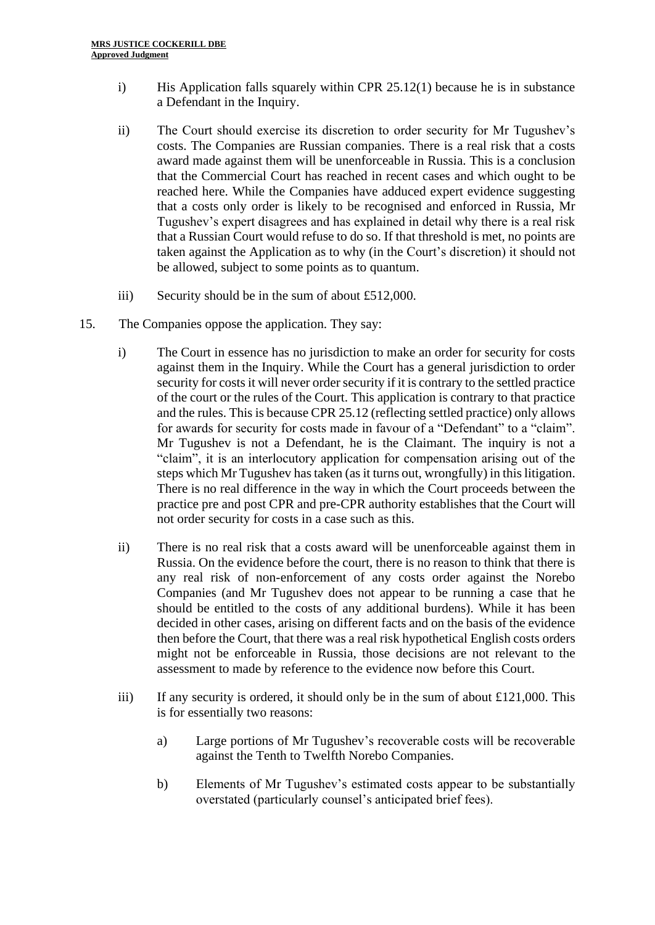- i) His Application falls squarely within CPR  $25.12(1)$  because he is in substance a Defendant in the Inquiry.
- ii) The Court should exercise its discretion to order security for Mr Tugushev's costs. The Companies are Russian companies. There is a real risk that a costs award made against them will be unenforceable in Russia. This is a conclusion that the Commercial Court has reached in recent cases and which ought to be reached here. While the Companies have adduced expert evidence suggesting that a costs only order is likely to be recognised and enforced in Russia, Mr Tugushev's expert disagrees and has explained in detail why there is a real risk that a Russian Court would refuse to do so. If that threshold is met, no points are taken against the Application as to why (in the Court's discretion) it should not be allowed, subject to some points as to quantum.
- iii) Security should be in the sum of about £512,000.
- 15. The Companies oppose the application. They say:
	- i) The Court in essence has no jurisdiction to make an order for security for costs against them in the Inquiry. While the Court has a general jurisdiction to order security for costs it will never order security if it is contrary to the settled practice of the court or the rules of the Court. This application is contrary to that practice and the rules. This is because CPR 25.12 (reflecting settled practice) only allows for awards for security for costs made in favour of a "Defendant" to a "claim". Mr Tugushev is not a Defendant, he is the Claimant. The inquiry is not a "claim", it is an interlocutory application for compensation arising out of the steps which Mr Tugushev has taken (as it turns out, wrongfully) in this litigation. There is no real difference in the way in which the Court proceeds between the practice pre and post CPR and pre-CPR authority establishes that the Court will not order security for costs in a case such as this.
	- ii) There is no real risk that a costs award will be unenforceable against them in Russia. On the evidence before the court, there is no reason to think that there is any real risk of non-enforcement of any costs order against the Norebo Companies (and Mr Tugushev does not appear to be running a case that he should be entitled to the costs of any additional burdens). While it has been decided in other cases, arising on different facts and on the basis of the evidence then before the Court, that there was a real risk hypothetical English costs orders might not be enforceable in Russia, those decisions are not relevant to the assessment to made by reference to the evidence now before this Court.
	- iii) If any security is ordered, it should only be in the sum of about  $£121,000$ . This is for essentially two reasons:
		- a) Large portions of Mr Tugushev's recoverable costs will be recoverable against the Tenth to Twelfth Norebo Companies.
		- b) Elements of Mr Tugushev's estimated costs appear to be substantially overstated (particularly counsel's anticipated brief fees).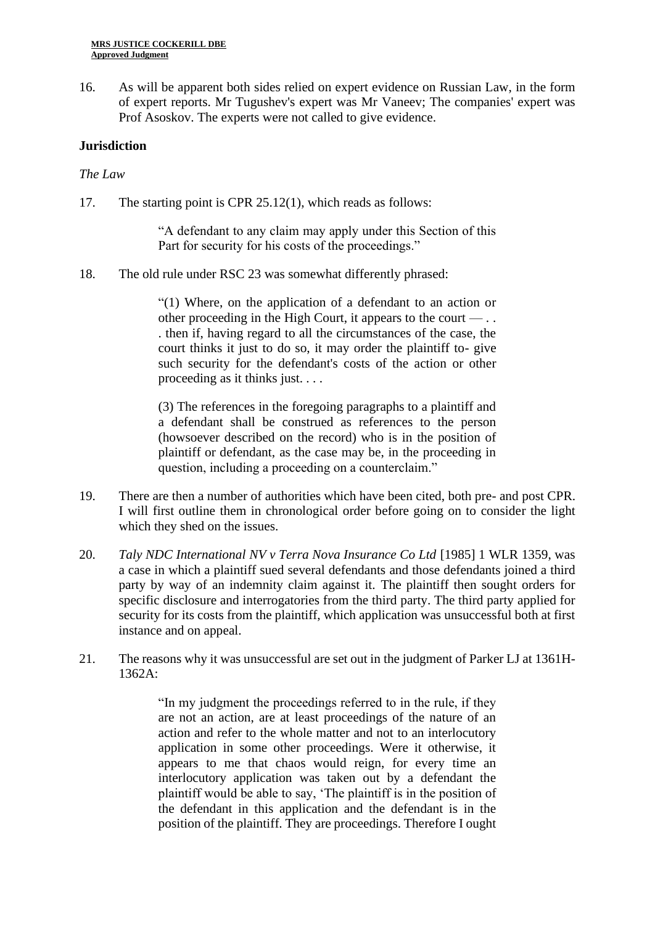16. As will be apparent both sides relied on expert evidence on Russian Law, in the form of expert reports. Mr Tugushev's expert was Mr Vaneev; The companies' expert was Prof Asoskov. The experts were not called to give evidence.

## **Jurisdiction**

### *The Law*

17. The starting point is CPR 25.12(1), which reads as follows:

"A defendant to any claim may apply under this Section of this Part for security for his costs of the proceedings."

18. The old rule under RSC 23 was somewhat differently phrased:

"(1) Where, on the application of a defendant to an action or other proceeding in the High Court, it appears to the court  $-\dots$ . then if, having regard to all the circumstances of the case, the court thinks it just to do so, it may order the plaintiff to- give such security for the defendant's costs of the action or other proceeding as it thinks just. . . .

(3) The references in the foregoing paragraphs to a plaintiff and a defendant shall be construed as references to the person (howsoever described on the record) who is in the position of plaintiff or defendant, as the case may be, in the proceeding in question, including a proceeding on a counterclaim."

- 19. There are then a number of authorities which have been cited, both pre- and post CPR. I will first outline them in chronological order before going on to consider the light which they shed on the issues.
- 20. *Taly NDC International NV v Terra Nova Insurance Co Ltd* [1985] 1 WLR 1359, was a case in which a plaintiff sued several defendants and those defendants joined a third party by way of an indemnity claim against it. The plaintiff then sought orders for specific disclosure and interrogatories from the third party. The third party applied for security for its costs from the plaintiff, which application was unsuccessful both at first instance and on appeal.
- 21. The reasons why it was unsuccessful are set out in the judgment of Parker LJ at 1361H-1362A:

"In my judgment the proceedings referred to in the rule, if they are not an action, are at least proceedings of the nature of an action and refer to the whole matter and not to an interlocutory application in some other proceedings. Were it otherwise, it appears to me that chaos would reign, for every time an interlocutory application was taken out by a defendant the plaintiff would be able to say, 'The plaintiff is in the position of the defendant in this application and the defendant is in the position of the plaintiff. They are proceedings. Therefore I ought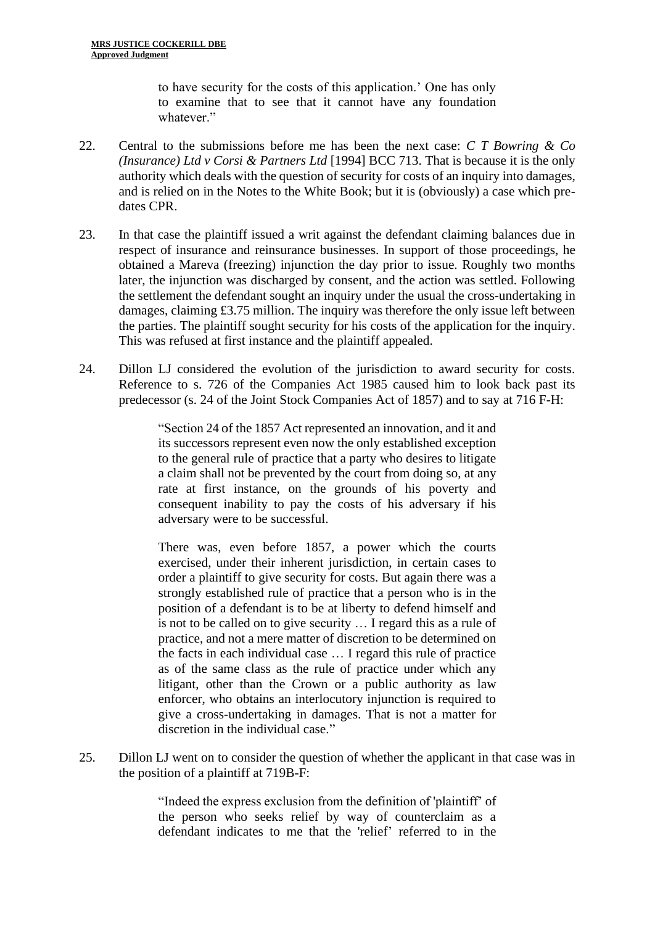to have security for the costs of this application.' One has only to examine that to see that it cannot have any foundation whatever."

- 22. Central to the submissions before me has been the next case: *C T Bowring & Co (Insurance) Ltd v Corsi & Partners Ltd* [1994] BCC 713. That is because it is the only authority which deals with the question of security for costs of an inquiry into damages, and is relied on in the Notes to the White Book; but it is (obviously) a case which predates CPR.
- 23. In that case the plaintiff issued a writ against the defendant claiming balances due in respect of insurance and reinsurance businesses. In support of those proceedings, he obtained a Mareva (freezing) injunction the day prior to issue. Roughly two months later, the injunction was discharged by consent, and the action was settled. Following the settlement the defendant sought an inquiry under the usual the cross-undertaking in damages, claiming £3.75 million. The inquiry was therefore the only issue left between the parties. The plaintiff sought security for his costs of the application for the inquiry. This was refused at first instance and the plaintiff appealed.
- 24. Dillon LJ considered the evolution of the jurisdiction to award security for costs. Reference to s. 726 of the Companies Act 1985 caused him to look back past its predecessor (s. 24 of the Joint Stock Companies Act of 1857) and to say at 716 F-H:

"Section 24 of the 1857 Act represented an innovation, and it and its successors represent even now the only established exception to the general rule of practice that a party who desires to litigate a claim shall not be prevented by the court from doing so, at any rate at first instance, on the grounds of his poverty and consequent inability to pay the costs of his adversary if his adversary were to be successful.

There was, even before 1857, a power which the courts exercised, under their inherent jurisdiction, in certain cases to order a plaintiff to give security for costs. But again there was a strongly established rule of practice that a person who is in the position of a defendant is to be at liberty to defend himself and is not to be called on to give security … I regard this as a rule of practice, and not a mere matter of discretion to be determined on the facts in each individual case … I regard this rule of practice as of the same class as the rule of practice under which any litigant, other than the Crown or a public authority as law enforcer, who obtains an interlocutory injunction is required to give a cross-undertaking in damages. That is not a matter for discretion in the individual case."

25. Dillon LJ went on to consider the question of whether the applicant in that case was in the position of a plaintiff at 719B-F:

> "Indeed the express exclusion from the definition of 'plaintiff' of the person who seeks relief by way of counterclaim as a defendant indicates to me that the 'relief' referred to in the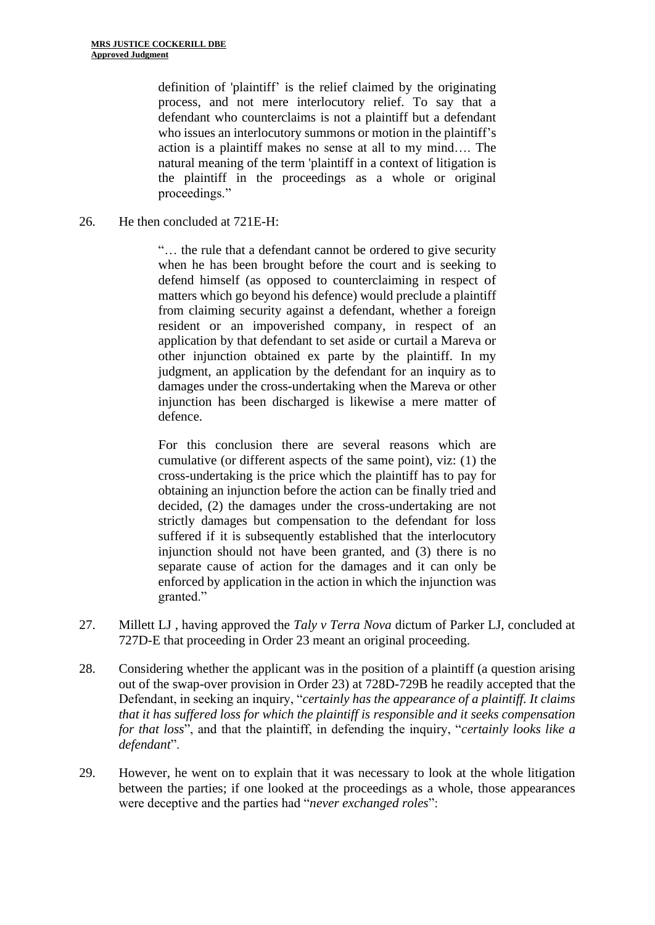definition of 'plaintiff' is the relief claimed by the originating process, and not mere interlocutory relief. To say that a defendant who counterclaims is not a plaintiff but a defendant who issues an interlocutory summons or motion in the plaintiff's action is a plaintiff makes no sense at all to my mind…. The natural meaning of the term 'plaintiff in a context of litigation is the plaintiff in the proceedings as a whole or original proceedings."

26. He then concluded at 721E-H:

"… the rule that a defendant cannot be ordered to give security when he has been brought before the court and is seeking to defend himself (as opposed to counterclaiming in respect of matters which go beyond his defence) would preclude a plaintiff from claiming security against a defendant, whether a foreign resident or an impoverished company, in respect of an application by that defendant to set aside or curtail a Mareva or other injunction obtained ex parte by the plaintiff. In my judgment, an application by the defendant for an inquiry as to damages under the cross-undertaking when the Mareva or other injunction has been discharged is likewise a mere matter of defence.

For this conclusion there are several reasons which are cumulative (or different aspects of the same point), viz: (1) the cross-undertaking is the price which the plaintiff has to pay for obtaining an injunction before the action can be finally tried and decided, (2) the damages under the cross-undertaking are not strictly damages but compensation to the defendant for loss suffered if it is subsequently established that the interlocutory injunction should not have been granted, and (3) there is no separate cause of action for the damages and it can only be enforced by application in the action in which the injunction was granted."

- 27. Millett LJ , having approved the *Taly v Terra Nova* dictum of Parker LJ, concluded at 727D-E that proceeding in Order 23 meant an original proceeding.
- 28. Considering whether the applicant was in the position of a plaintiff (a question arising out of the swap-over provision in Order 23) at 728D-729B he readily accepted that the Defendant, in seeking an inquiry, "*certainly has the appearance of a plaintiff. It claims that it has suffered loss for which the plaintiff is responsible and it seeks compensation for that loss*", and that the plaintiff, in defending the inquiry, "*certainly looks like a defendant*".
- 29. However, he went on to explain that it was necessary to look at the whole litigation between the parties; if one looked at the proceedings as a whole, those appearances were deceptive and the parties had "*never exchanged roles*":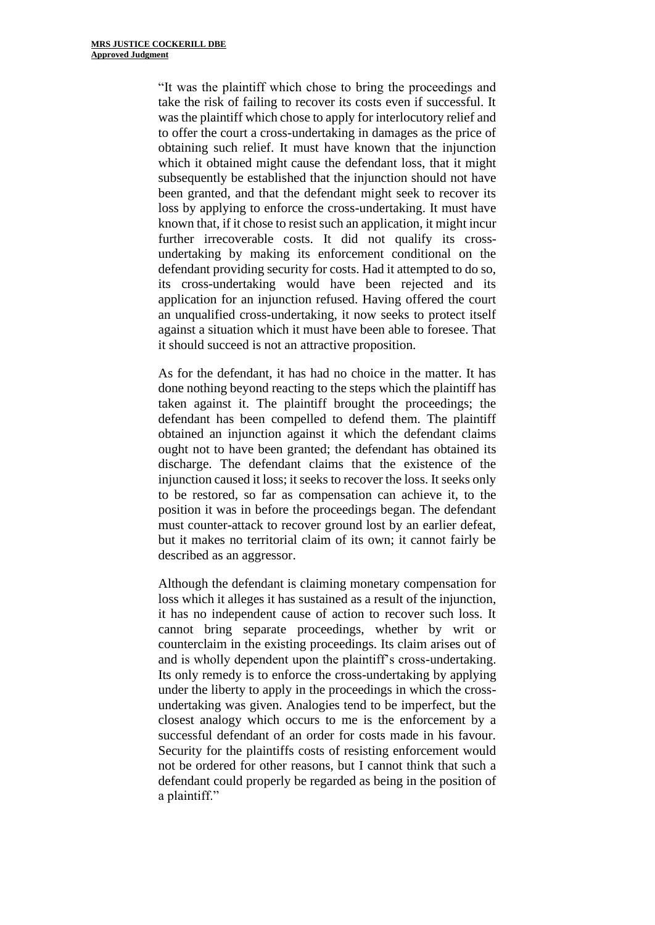"It was the plaintiff which chose to bring the proceedings and take the risk of failing to recover its costs even if successful. It was the plaintiff which chose to apply for interlocutory relief and to offer the court a cross-undertaking in damages as the price of obtaining such relief. It must have known that the injunction which it obtained might cause the defendant loss, that it might subsequently be established that the injunction should not have been granted, and that the defendant might seek to recover its loss by applying to enforce the cross-undertaking. It must have known that, if it chose to resist such an application, it might incur further irrecoverable costs. It did not qualify its crossundertaking by making its enforcement conditional on the defendant providing security for costs. Had it attempted to do so, its cross-undertaking would have been rejected and its application for an injunction refused. Having offered the court an unqualified cross-undertaking, it now seeks to protect itself against a situation which it must have been able to foresee. That it should succeed is not an attractive proposition.

As for the defendant, it has had no choice in the matter. It has done nothing beyond reacting to the steps which the plaintiff has taken against it. The plaintiff brought the proceedings; the defendant has been compelled to defend them. The plaintiff obtained an injunction against it which the defendant claims ought not to have been granted; the defendant has obtained its discharge. The defendant claims that the existence of the injunction caused it loss; it seeks to recover the loss. It seeks only to be restored, so far as compensation can achieve it, to the position it was in before the proceedings began. The defendant must counter-attack to recover ground lost by an earlier defeat, but it makes no territorial claim of its own; it cannot fairly be described as an aggressor.

Although the defendant is claiming monetary compensation for loss which it alleges it has sustained as a result of the injunction, it has no independent cause of action to recover such loss. It cannot bring separate proceedings, whether by writ or counterclaim in the existing proceedings. Its claim arises out of and is wholly dependent upon the plaintiff's cross-undertaking. Its only remedy is to enforce the cross-undertaking by applying under the liberty to apply in the proceedings in which the crossundertaking was given. Analogies tend to be imperfect, but the closest analogy which occurs to me is the enforcement by a successful defendant of an order for costs made in his favour. Security for the plaintiffs costs of resisting enforcement would not be ordered for other reasons, but I cannot think that such a defendant could properly be regarded as being in the position of a plaintiff."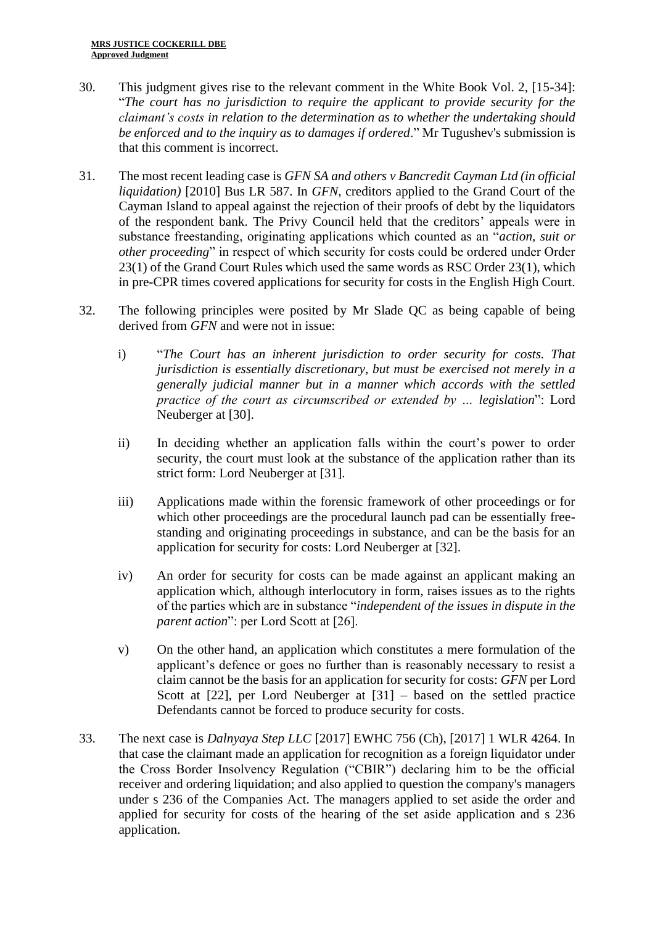- 30. This judgment gives rise to the relevant comment in the White Book Vol. 2, [15-34]: "*The court has no jurisdiction to require the applicant to provide security for the claimant's costs in relation to the determination as to whether the undertaking should be enforced and to the inquiry as to damages if ordered*." Mr Tugushev's submission is that this comment is incorrect.
- 31. The most recent leading case is *GFN SA and others v Bancredit Cayman Ltd (in official liquidation)* [2010] Bus LR 587. In *GFN*, creditors applied to the Grand Court of the Cayman Island to appeal against the rejection of their proofs of debt by the liquidators of the respondent bank. The Privy Council held that the creditors' appeals were in substance freestanding, originating applications which counted as an "*action, suit or other proceeding*" in respect of which security for costs could be ordered under Order 23(1) of the Grand Court Rules which used the same words as RSC Order 23(1), which in pre-CPR times covered applications for security for costs in the English High Court.
- 32. The following principles were posited by Mr Slade QC as being capable of being derived from *GFN* and were not in issue:
	- i) "*The Court has an inherent jurisdiction to order security for costs. That jurisdiction is essentially discretionary, but must be exercised not merely in a generally judicial manner but in a manner which accords with the settled practice of the court as circumscribed or extended by … legislation*": Lord Neuberger at [30].
	- ii) In deciding whether an application falls within the court's power to order security, the court must look at the substance of the application rather than its strict form: Lord Neuberger at [31].
	- iii) Applications made within the forensic framework of other proceedings or for which other proceedings are the procedural launch pad can be essentially freestanding and originating proceedings in substance, and can be the basis for an application for security for costs: Lord Neuberger at [32].
	- iv) An order for security for costs can be made against an applicant making an application which, although interlocutory in form, raises issues as to the rights of the parties which are in substance "*independent of the issues in dispute in the parent action*": per Lord Scott at [26].
	- v) On the other hand, an application which constitutes a mere formulation of the applicant's defence or goes no further than is reasonably necessary to resist a claim cannot be the basis for an application for security for costs: *GFN* per Lord Scott at [22], per Lord Neuberger at [31] – based on the settled practice Defendants cannot be forced to produce security for costs.
- 33. The next case is *Dalnyaya Step LLC* [2017] EWHC 756 (Ch), [2017] 1 WLR 4264. In that case the claimant made an application for recognition as a foreign liquidator under the Cross Border Insolvency Regulation ("CBIR") declaring him to be the official receiver and ordering liquidation; and also applied to question the company's managers under s 236 of the Companies Act. The managers applied to set aside the order and applied for security for costs of the hearing of the set aside application and s 236 application.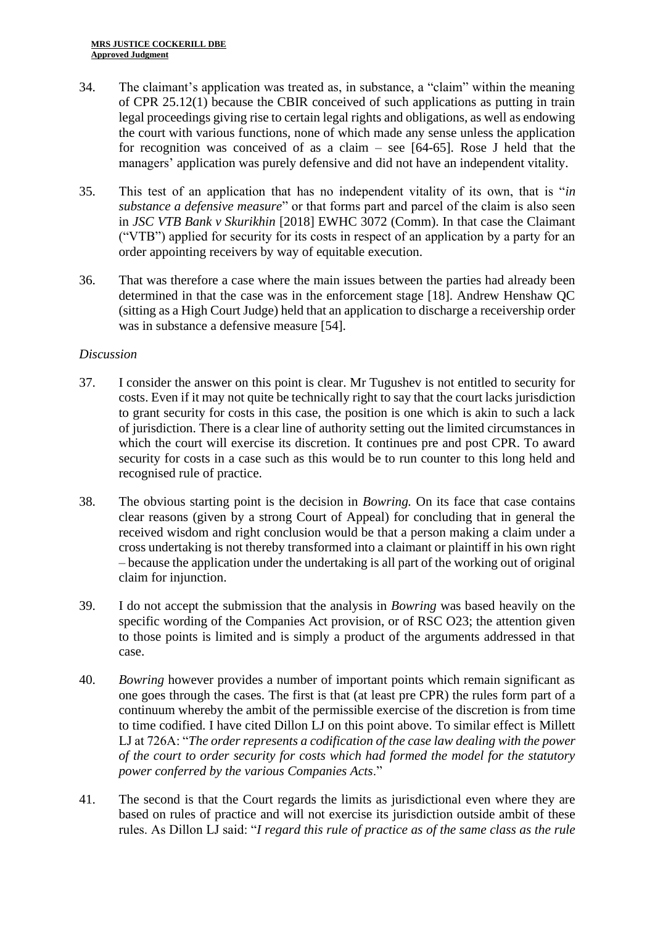- 34. The claimant's application was treated as, in substance, a "claim" within the meaning of CPR 25.12(1) because the CBIR conceived of such applications as putting in train legal proceedings giving rise to certain legal rights and obligations, as well as endowing the court with various functions, none of which made any sense unless the application for recognition was conceived of as a claim – see [64-65]. Rose J held that the managers' application was purely defensive and did not have an independent vitality.
- 35. This test of an application that has no independent vitality of its own, that is "*in substance a defensive measure*" or that forms part and parcel of the claim is also seen in *JSC VTB Bank v Skurikhin* [2018] EWHC 3072 (Comm). In that case the Claimant ("VTB") applied for security for its costs in respect of an application by a party for an order appointing receivers by way of equitable execution.
- 36. That was therefore a case where the main issues between the parties had already been determined in that the case was in the enforcement stage [18]. Andrew Henshaw QC (sitting as a High Court Judge) held that an application to discharge a receivership order was in substance a defensive measure [54].

## *Discussion*

- 37. I consider the answer on this point is clear. Mr Tugushev is not entitled to security for costs. Even if it may not quite be technically right to say that the court lacks jurisdiction to grant security for costs in this case, the position is one which is akin to such a lack of jurisdiction. There is a clear line of authority setting out the limited circumstances in which the court will exercise its discretion. It continues pre and post CPR. To award security for costs in a case such as this would be to run counter to this long held and recognised rule of practice.
- 38. The obvious starting point is the decision in *Bowring.* On its face that case contains clear reasons (given by a strong Court of Appeal) for concluding that in general the received wisdom and right conclusion would be that a person making a claim under a cross undertaking is not thereby transformed into a claimant or plaintiff in his own right – because the application under the undertaking is all part of the working out of original claim for injunction.
- 39. I do not accept the submission that the analysis in *Bowring* was based heavily on the specific wording of the Companies Act provision, or of RSC O23; the attention given to those points is limited and is simply a product of the arguments addressed in that case.
- 40. *Bowring* however provides a number of important points which remain significant as one goes through the cases. The first is that (at least pre CPR) the rules form part of a continuum whereby the ambit of the permissible exercise of the discretion is from time to time codified. I have cited Dillon LJ on this point above. To similar effect is Millett LJ at 726A: "*The order represents a codification of the case law dealing with the power of the court to order security for costs which had formed the model for the statutory power conferred by the various Companies Acts*."
- 41. The second is that the Court regards the limits as jurisdictional even where they are based on rules of practice and will not exercise its jurisdiction outside ambit of these rules. As Dillon LJ said: "*I regard this rule of practice as of the same class as the rule*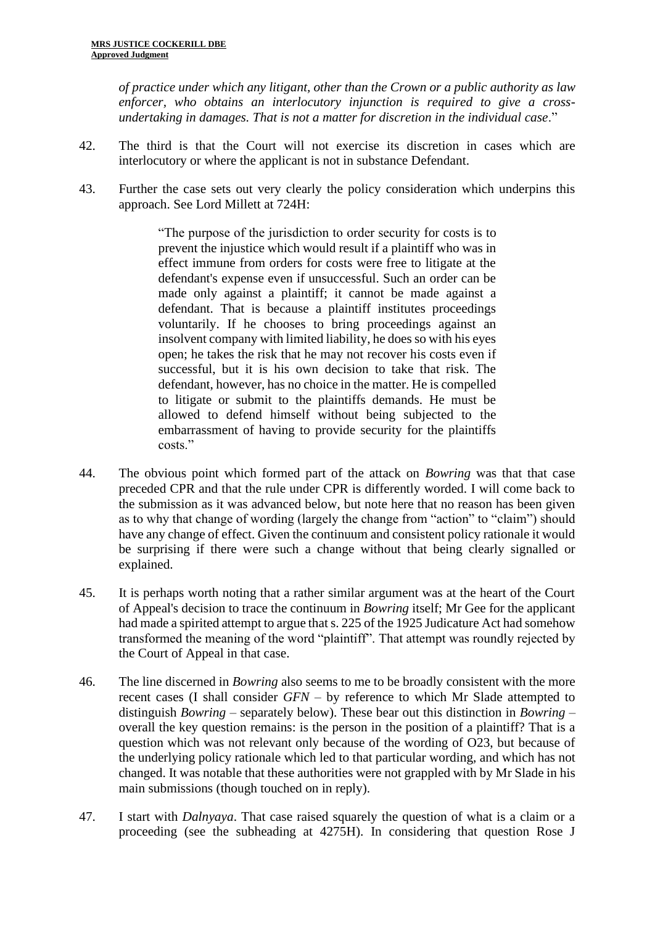*of practice under which any litigant, other than the Crown or a public authority as law enforcer, who obtains an interlocutory injunction is required to give a crossundertaking in damages. That is not a matter for discretion in the individual case*."

- 42. The third is that the Court will not exercise its discretion in cases which are interlocutory or where the applicant is not in substance Defendant.
- 43. Further the case sets out very clearly the policy consideration which underpins this approach. See Lord Millett at 724H:

"The purpose of the jurisdiction to order security for costs is to prevent the injustice which would result if a plaintiff who was in effect immune from orders for costs were free to litigate at the defendant's expense even if unsuccessful. Such an order can be made only against a plaintiff; it cannot be made against a defendant. That is because a plaintiff institutes proceedings voluntarily. If he chooses to bring proceedings against an insolvent company with limited liability, he does so with his eyes open; he takes the risk that he may not recover his costs even if successful, but it is his own decision to take that risk. The defendant, however, has no choice in the matter. He is compelled to litigate or submit to the plaintiffs demands. He must be allowed to defend himself without being subjected to the embarrassment of having to provide security for the plaintiffs costs."

- 44. The obvious point which formed part of the attack on *Bowring* was that that case preceded CPR and that the rule under CPR is differently worded. I will come back to the submission as it was advanced below, but note here that no reason has been given as to why that change of wording (largely the change from "action" to "claim") should have any change of effect. Given the continuum and consistent policy rationale it would be surprising if there were such a change without that being clearly signalled or explained.
- 45. It is perhaps worth noting that a rather similar argument was at the heart of the Court of Appeal's decision to trace the continuum in *Bowring* itself; Mr Gee for the applicant had made a spirited attempt to argue that s. 225 of the 1925 Judicature Act had somehow transformed the meaning of the word "plaintiff". That attempt was roundly rejected by the Court of Appeal in that case.
- 46. The line discerned in *Bowring* also seems to me to be broadly consistent with the more recent cases (I shall consider *GFN* – by reference to which Mr Slade attempted to distinguish *Bowring –* separately below). These bear out this distinction in *Bowring* – overall the key question remains: is the person in the position of a plaintiff? That is a question which was not relevant only because of the wording of O23, but because of the underlying policy rationale which led to that particular wording, and which has not changed. It was notable that these authorities were not grappled with by Mr Slade in his main submissions (though touched on in reply).
- 47. I start with *Dalnyaya*. That case raised squarely the question of what is a claim or a proceeding (see the subheading at 4275H). In considering that question Rose J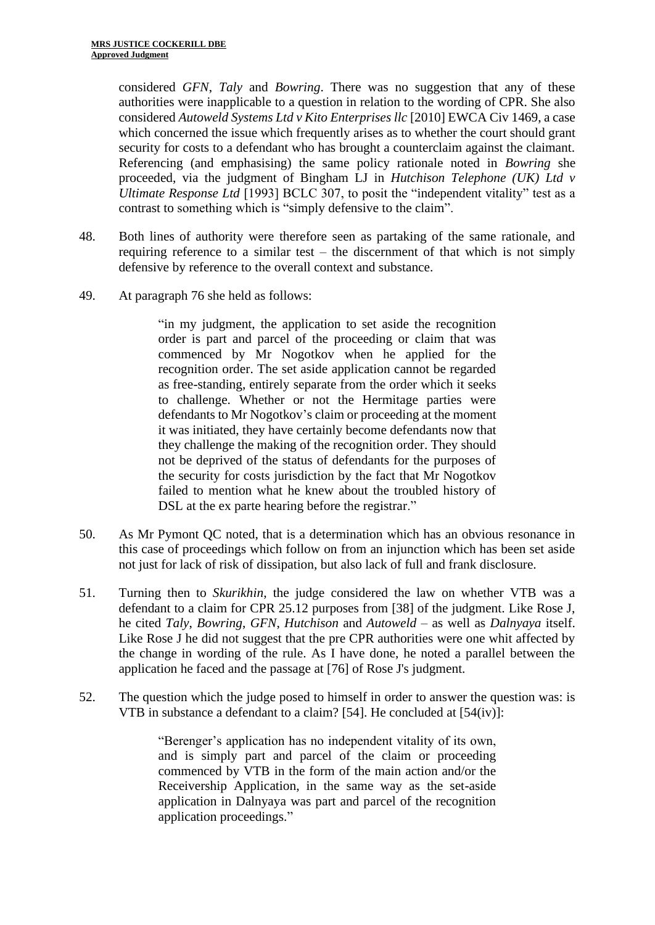considered *GFN*, *Taly* and *Bowring*. There was no suggestion that any of these authorities were inapplicable to a question in relation to the wording of CPR. She also considered *Autoweld Systems Ltd v Kito Enterprises llc* [2010] EWCA Civ 1469, a case which concerned the issue which frequently arises as to whether the court should grant security for costs to a defendant who has brought a counterclaim against the claimant. Referencing (and emphasising) the same policy rationale noted in *Bowring* she proceeded, via the judgment of Bingham LJ in *Hutchison Telephone (UK) Ltd v Ultimate Response Ltd* [1993] BCLC 307, to posit the "independent vitality" test as a contrast to something which is "simply defensive to the claim".

- 48. Both lines of authority were therefore seen as partaking of the same rationale, and requiring reference to a similar test – the discernment of that which is not simply defensive by reference to the overall context and substance.
- 49. At paragraph 76 she held as follows:

"in my judgment, the application to set aside the recognition order is part and parcel of the proceeding or claim that was commenced by Mr Nogotkov when he applied for the recognition order. The set aside application cannot be regarded as free-standing, entirely separate from the order which it seeks to challenge. Whether or not the Hermitage parties were defendants to Mr Nogotkov's claim or proceeding at the moment it was initiated, they have certainly become defendants now that they challenge the making of the recognition order. They should not be deprived of the status of defendants for the purposes of the security for costs jurisdiction by the fact that Mr Nogotkov failed to mention what he knew about the troubled history of DSL at the ex parte hearing before the registrar."

- 50. As Mr Pymont QC noted, that is a determination which has an obvious resonance in this case of proceedings which follow on from an injunction which has been set aside not just for lack of risk of dissipation, but also lack of full and frank disclosure.
- 51. Turning then to *Skurikhin*, the judge considered the law on whether VTB was a defendant to a claim for CPR 25.12 purposes from [38] of the judgment. Like Rose J, he cited *Taly*, *Bowring*, *GFN*, *Hutchison* and *Autoweld* – as well as *Dalnyaya* itself. Like Rose J he did not suggest that the pre CPR authorities were one whit affected by the change in wording of the rule. As I have done, he noted a parallel between the application he faced and the passage at [76] of Rose J's judgment.
- 52. The question which the judge posed to himself in order to answer the question was: is VTB in substance a defendant to a claim? [54]. He concluded at [54(iv)]:

"Berenger's application has no independent vitality of its own, and is simply part and parcel of the claim or proceeding commenced by VTB in the form of the main action and/or the Receivership Application, in the same way as the set-aside application in Dalnyaya was part and parcel of the recognition application proceedings."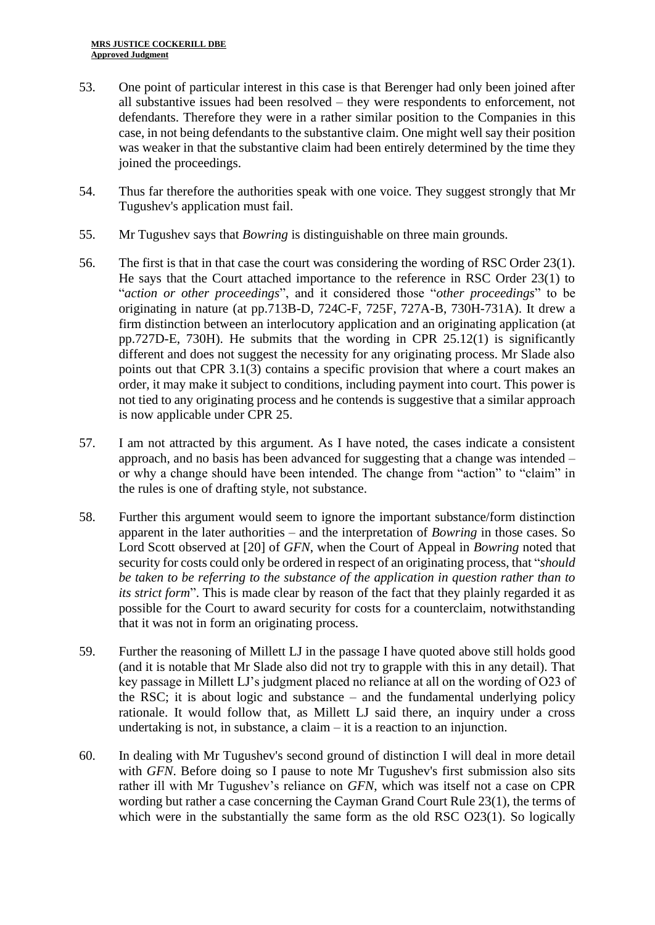- 53. One point of particular interest in this case is that Berenger had only been joined after all substantive issues had been resolved – they were respondents to enforcement, not defendants. Therefore they were in a rather similar position to the Companies in this case, in not being defendants to the substantive claim. One might well say their position was weaker in that the substantive claim had been entirely determined by the time they joined the proceedings.
- 54. Thus far therefore the authorities speak with one voice. They suggest strongly that Mr Tugushev's application must fail.
- 55. Mr Tugushev says that *Bowring* is distinguishable on three main grounds.
- 56. The first is that in that case the court was considering the wording of RSC Order 23(1). He says that the Court attached importance to the reference in RSC Order 23(1) to "*action or other proceedings*", and it considered those "*other proceedings*" to be originating in nature (at pp.713B-D, 724C-F, 725F, 727A-B, 730H-731A). It drew a firm distinction between an interlocutory application and an originating application (at pp.727D-E, 730H). He submits that the wording in CPR 25.12(1) is significantly different and does not suggest the necessity for any originating process. Mr Slade also points out that CPR 3.1(3) contains a specific provision that where a court makes an order, it may make it subject to conditions, including payment into court. This power is not tied to any originating process and he contends is suggestive that a similar approach is now applicable under CPR 25.
- 57. I am not attracted by this argument. As I have noted, the cases indicate a consistent approach, and no basis has been advanced for suggesting that a change was intended – or why a change should have been intended. The change from "action" to "claim" in the rules is one of drafting style, not substance.
- 58. Further this argument would seem to ignore the important substance/form distinction apparent in the later authorities – and the interpretation of *Bowring* in those cases. So Lord Scott observed at [20] of *GFN*, when the Court of Appeal in *Bowring* noted that security for costs could only be ordered in respect of an originating process, that "*should be taken to be referring to the substance of the application in question rather than to its strict form*". This is made clear by reason of the fact that they plainly regarded it as possible for the Court to award security for costs for a counterclaim, notwithstanding that it was not in form an originating process.
- 59. Further the reasoning of Millett LJ in the passage I have quoted above still holds good (and it is notable that Mr Slade also did not try to grapple with this in any detail). That key passage in Millett LJ's judgment placed no reliance at all on the wording of O23 of the RSC; it is about logic and substance – and the fundamental underlying policy rationale. It would follow that, as Millett LJ said there, an inquiry under a cross undertaking is not, in substance, a claim – it is a reaction to an injunction.
- 60. In dealing with Mr Tugushev's second ground of distinction I will deal in more detail with *GFN*. Before doing so I pause to note Mr Tugushev's first submission also sits rather ill with Mr Tugushev's reliance on *GFN*, which was itself not a case on CPR wording but rather a case concerning the Cayman Grand Court Rule 23(1), the terms of which were in the substantially the same form as the old RSC O23(1). So logically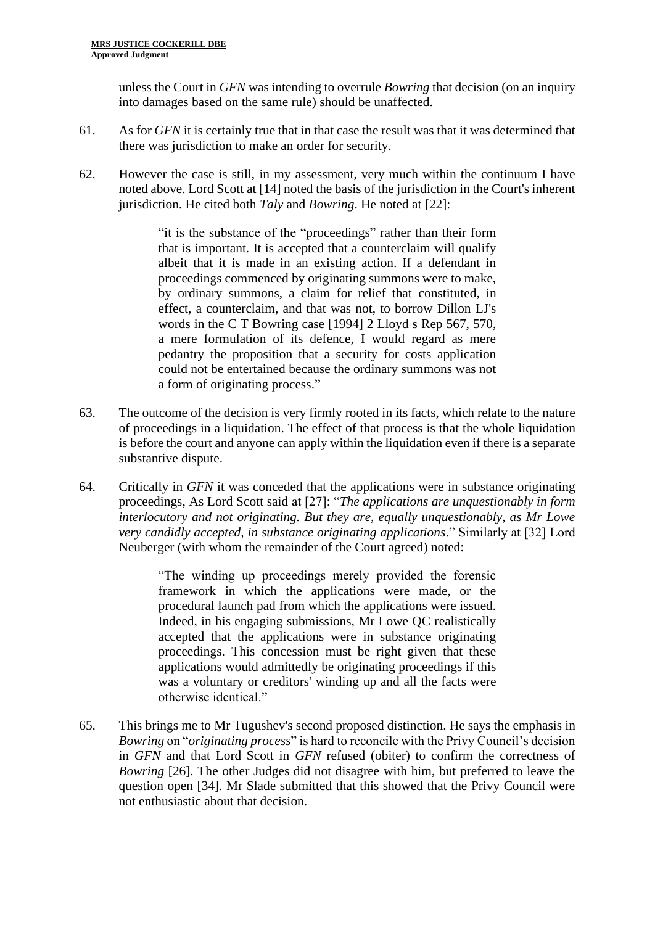unless the Court in *GFN* was intending to overrule *Bowring* that decision (on an inquiry into damages based on the same rule) should be unaffected.

- 61. As for *GFN* it is certainly true that in that case the result was that it was determined that there was jurisdiction to make an order for security.
- 62. However the case is still, in my assessment, very much within the continuum I have noted above. Lord Scott at [14] noted the basis of the jurisdiction in the Court's inherent jurisdiction. He cited both *Taly* and *Bowring*. He noted at [22]:

"it is the substance of the "proceedings" rather than their form that is important. It is accepted that a counterclaim will qualify albeit that it is made in an existing action. If a defendant in proceedings commenced by originating summons were to make, by ordinary summons, a claim for relief that constituted, in effect, a counterclaim, and that was not, to borrow Dillon LJ's words in the C T Bowring case [1994] 2 Lloyd s Rep 567, 570, a mere formulation of its defence, I would regard as mere pedantry the proposition that a security for costs application could not be entertained because the ordinary summons was not a form of originating process."

- 63. The outcome of the decision is very firmly rooted in its facts, which relate to the nature of proceedings in a liquidation. The effect of that process is that the whole liquidation is before the court and anyone can apply within the liquidation even if there is a separate substantive dispute.
- 64. Critically in *GFN* it was conceded that the applications were in substance originating proceedings, As Lord Scott said at [27]: "*The applications are unquestionably in form interlocutory and not originating. But they are, equally unquestionably, as Mr Lowe very candidly accepted, in substance originating applications*." Similarly at [32] Lord Neuberger (with whom the remainder of the Court agreed) noted:

"The winding up proceedings merely provided the forensic framework in which the applications were made, or the procedural launch pad from which the applications were issued. Indeed, in his engaging submissions, Mr Lowe QC realistically accepted that the applications were in substance originating proceedings. This concession must be right given that these applications would admittedly be originating proceedings if this was a voluntary or creditors' winding up and all the facts were otherwise identical."

65. This brings me to Mr Tugushev's second proposed distinction. He says the emphasis in *Bowring* on "*originating process*" is hard to reconcile with the Privy Council's decision in *GFN* and that Lord Scott in *GFN* refused (obiter) to confirm the correctness of *Bowring* [26]. The other Judges did not disagree with him, but preferred to leave the question open [34]. Mr Slade submitted that this showed that the Privy Council were not enthusiastic about that decision.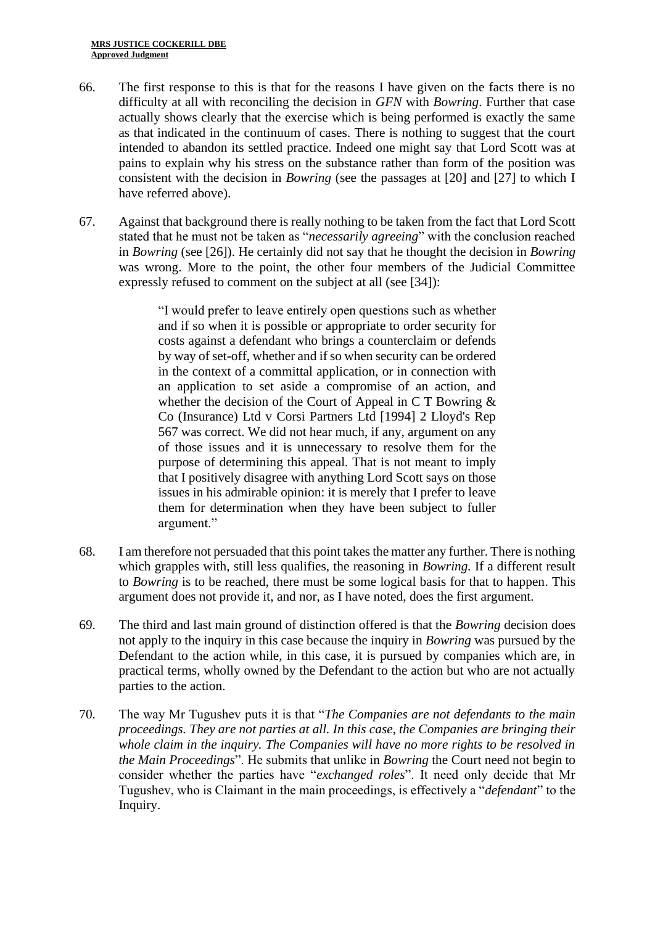- 66. The first response to this is that for the reasons I have given on the facts there is no difficulty at all with reconciling the decision in *GFN* with *Bowring*. Further that case actually shows clearly that the exercise which is being performed is exactly the same as that indicated in the continuum of cases. There is nothing to suggest that the court intended to abandon its settled practice. Indeed one might say that Lord Scott was at pains to explain why his stress on the substance rather than form of the position was consistent with the decision in *Bowring* (see the passages at [20] and [27] to which I have referred above).
- 67. Against that background there is really nothing to be taken from the fact that Lord Scott stated that he must not be taken as "*necessarily agreeing*" with the conclusion reached in *Bowring* (see [26]). He certainly did not say that he thought the decision in *Bowring* was wrong. More to the point, the other four members of the Judicial Committee expressly refused to comment on the subject at all (see [34]):

"I would prefer to leave entirely open questions such as whether and if so when it is possible or appropriate to order security for costs against a defendant who brings a counterclaim or defends by way of set-off, whether and if so when security can be ordered in the context of a committal application, or in connection with an application to set aside a compromise of an action, and whether the decision of the Court of Appeal in C T Bowring & Co (Insurance) Ltd v Corsi Partners Ltd [1994] 2 Lloyd's Rep 567 was correct. We did not hear much, if any, argument on any of those issues and it is unnecessary to resolve them for the purpose of determining this appeal. That is not meant to imply that I positively disagree with anything Lord Scott says on those issues in his admirable opinion: it is merely that I prefer to leave them for determination when they have been subject to fuller argument."

- 68. I am therefore not persuaded that this point takes the matter any further. There is nothing which grapples with, still less qualifies, the reasoning in *Bowring.* If a different result to *Bowring* is to be reached, there must be some logical basis for that to happen. This argument does not provide it, and nor, as I have noted, does the first argument.
- 69. The third and last main ground of distinction offered is that the *Bowring* decision does not apply to the inquiry in this case because the inquiry in *Bowring* was pursued by the Defendant to the action while, in this case, it is pursued by companies which are, in practical terms, wholly owned by the Defendant to the action but who are not actually parties to the action.
- 70. The way Mr Tugushev puts it is that "*The Companies are not defendants to the main proceedings. They are not parties at all. In this case, the Companies are bringing their whole claim in the inquiry. The Companies will have no more rights to be resolved in the Main Proceedings*". He submits that unlike in *Bowring* the Court need not begin to consider whether the parties have "*exchanged roles*". It need only decide that Mr Tugushev, who is Claimant in the main proceedings, is effectively a "*defendant*" to the Inquiry.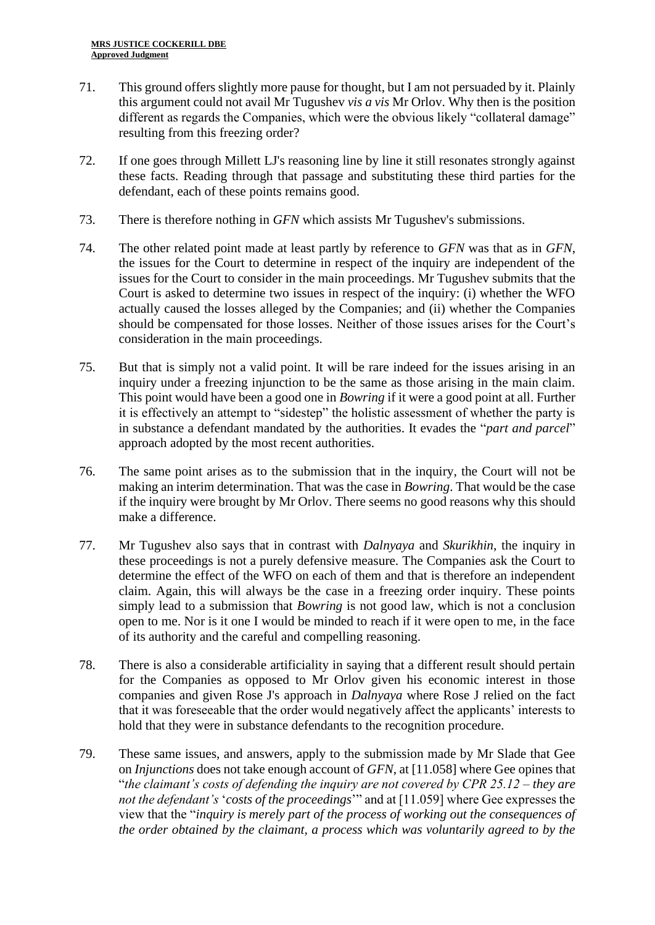- 71. This ground offers slightly more pause for thought, but I am not persuaded by it. Plainly this argument could not avail Mr Tugushev *vis a vis* Mr Orlov. Why then is the position different as regards the Companies, which were the obvious likely "collateral damage" resulting from this freezing order?
- 72. If one goes through Millett LJ's reasoning line by line it still resonates strongly against these facts. Reading through that passage and substituting these third parties for the defendant, each of these points remains good.
- 73. There is therefore nothing in *GFN* which assists Mr Tugushev's submissions.
- 74. The other related point made at least partly by reference to *GFN* was that as in *GFN*, the issues for the Court to determine in respect of the inquiry are independent of the issues for the Court to consider in the main proceedings. Mr Tugushev submits that the Court is asked to determine two issues in respect of the inquiry: (i) whether the WFO actually caused the losses alleged by the Companies; and (ii) whether the Companies should be compensated for those losses. Neither of those issues arises for the Court's consideration in the main proceedings.
- 75. But that is simply not a valid point. It will be rare indeed for the issues arising in an inquiry under a freezing injunction to be the same as those arising in the main claim. This point would have been a good one in *Bowring* if it were a good point at all. Further it is effectively an attempt to "sidestep" the holistic assessment of whether the party is in substance a defendant mandated by the authorities. It evades the "*part and parcel*" approach adopted by the most recent authorities.
- 76. The same point arises as to the submission that in the inquiry, the Court will not be making an interim determination. That was the case in *Bowring*. That would be the case if the inquiry were brought by Mr Orlov. There seems no good reasons why this should make a difference.
- 77. Mr Tugushev also says that in contrast with *Dalnyaya* and *Skurikhin*, the inquiry in these proceedings is not a purely defensive measure. The Companies ask the Court to determine the effect of the WFO on each of them and that is therefore an independent claim. Again, this will always be the case in a freezing order inquiry. These points simply lead to a submission that *Bowring* is not good law, which is not a conclusion open to me. Nor is it one I would be minded to reach if it were open to me, in the face of its authority and the careful and compelling reasoning.
- 78. There is also a considerable artificiality in saying that a different result should pertain for the Companies as opposed to Mr Orlov given his economic interest in those companies and given Rose J's approach in *Dalnyaya* where Rose J relied on the fact that it was foreseeable that the order would negatively affect the applicants' interests to hold that they were in substance defendants to the recognition procedure.
- 79. These same issues, and answers, apply to the submission made by Mr Slade that Gee on *Injunctions* does not take enough account of *GFN*, at [11.058] where Gee opines that "*the claimant's costs of defending the inquiry are not covered by CPR 25.12 – they are not the defendant's* '*costs of the proceedings*'" and at [11.059] where Gee expresses the view that the "*inquiry is merely part of the process of working out the consequences of the order obtained by the claimant, a process which was voluntarily agreed to by the*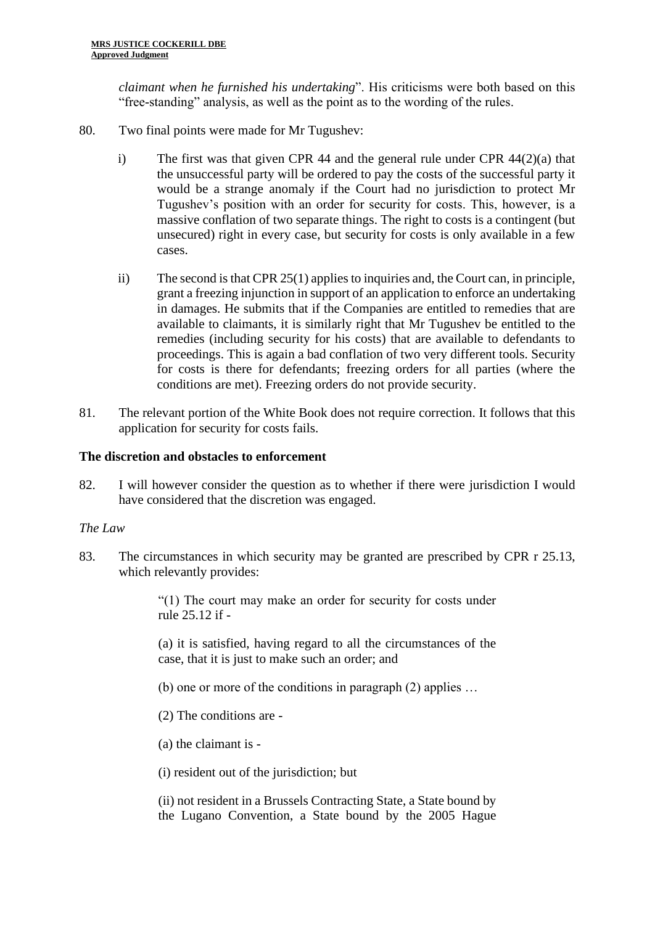*claimant when he furnished his undertaking*". His criticisms were both based on this "free-standing" analysis, as well as the point as to the wording of the rules.

- 80. Two final points were made for Mr Tugushev:
	- i) The first was that given CPR 44 and the general rule under CPR 44(2)(a) that the unsuccessful party will be ordered to pay the costs of the successful party it would be a strange anomaly if the Court had no jurisdiction to protect Mr Tugushev's position with an order for security for costs. This, however, is a massive conflation of two separate things. The right to costs is a contingent (but unsecured) right in every case, but security for costs is only available in a few cases.
	- ii) The second is that CPR 25(1) applies to inquiries and, the Court can, in principle, grant a freezing injunction in support of an application to enforce an undertaking in damages. He submits that if the Companies are entitled to remedies that are available to claimants, it is similarly right that Mr Tugushev be entitled to the remedies (including security for his costs) that are available to defendants to proceedings. This is again a bad conflation of two very different tools. Security for costs is there for defendants; freezing orders for all parties (where the conditions are met). Freezing orders do not provide security.
- 81. The relevant portion of the White Book does not require correction. It follows that this application for security for costs fails.

### **The discretion and obstacles to enforcement**

82. I will however consider the question as to whether if there were jurisdiction I would have considered that the discretion was engaged.

### *The Law*

83. The circumstances in which security may be granted are prescribed by CPR r 25.13, which relevantly provides:

> "(1) The court may make an order for security for costs under rule 25.12 if -

> (a) it is satisfied, having regard to all the circumstances of the case, that it is just to make such an order; and

- (b) one or more of the conditions in paragraph (2) applies …
- (2) The conditions are -
- (a) the claimant is -

(i) resident out of the jurisdiction; but

(ii) not resident in a Brussels Contracting State, a State bound by the Lugano Convention, a State bound by the 2005 Hague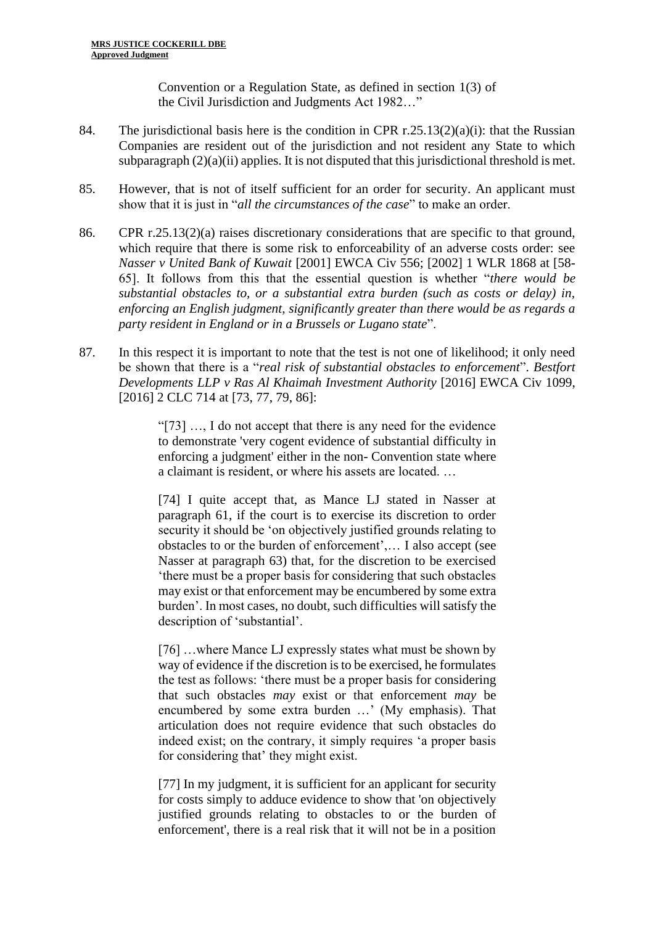Convention or a Regulation State, as defined in section 1(3) of the Civil Jurisdiction and Judgments Act 1982…"

- 84. The jurisdictional basis here is the condition in CPR r.25.13(2)(a)(i): that the Russian Companies are resident out of the jurisdiction and not resident any State to which subparagraph (2)(a)(ii) applies. It is not disputed that this jurisdictional threshold is met.
- 85. However, that is not of itself sufficient for an order for security. An applicant must show that it is just in "*all the circumstances of the case*" to make an order.
- 86. CPR r.25.13(2)(a) raises discretionary considerations that are specific to that ground, which require that there is some risk to enforceability of an adverse costs order: see *Nasser v United Bank of Kuwait* [2001] EWCA Civ 556; [2002] 1 WLR 1868 at [58- 65]. It follows from this that the essential question is whether "*there would be substantial obstacles to, or a substantial extra burden (such as costs or delay) in, enforcing an English judgment, significantly greater than there would be as regards a party resident in England or in a Brussels or Lugano state*".
- 87. In this respect it is important to note that the test is not one of likelihood; it only need be shown that there is a "*real risk of substantial obstacles to enforcement*". *Bestfort Developments LLP v Ras Al Khaimah Investment Authority* [2016] EWCA Civ 1099, [2016] 2 CLC 714 at [73, 77, 79, 86]:

"[73] …, I do not accept that there is any need for the evidence to demonstrate 'very cogent evidence of substantial difficulty in enforcing a judgment' either in the non- Convention state where a claimant is resident, or where his assets are located. …

[74] I quite accept that, as Mance LJ stated in Nasser at paragraph 61, if the court is to exercise its discretion to order security it should be 'on objectively justified grounds relating to obstacles to or the burden of enforcement',… I also accept (see Nasser at paragraph 63) that, for the discretion to be exercised 'there must be a proper basis for considering that such obstacles may exist or that enforcement may be encumbered by some extra burden'. In most cases, no doubt, such difficulties will satisfy the description of 'substantial'.

[76] …where Mance LJ expressly states what must be shown by way of evidence if the discretion is to be exercised, he formulates the test as follows: 'there must be a proper basis for considering that such obstacles *may* exist or that enforcement *may* be encumbered by some extra burden …' (My emphasis). That articulation does not require evidence that such obstacles do indeed exist; on the contrary, it simply requires 'a proper basis for considering that' they might exist.

[77] In my judgment, it is sufficient for an applicant for security for costs simply to adduce evidence to show that 'on objectively justified grounds relating to obstacles to or the burden of enforcement', there is a real risk that it will not be in a position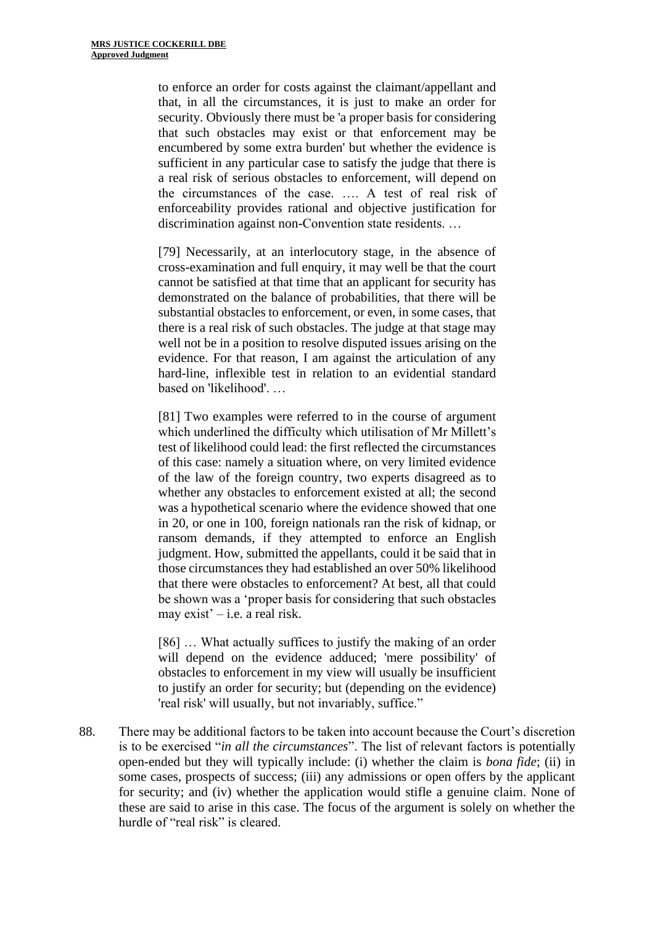to enforce an order for costs against the claimant/appellant and that, in all the circumstances, it is just to make an order for security. Obviously there must be 'a proper basis for considering that such obstacles may exist or that enforcement may be encumbered by some extra burden' but whether the evidence is sufficient in any particular case to satisfy the judge that there is a real risk of serious obstacles to enforcement, will depend on the circumstances of the case. …. A test of real risk of enforceability provides rational and objective justification for discrimination against non-Convention state residents. …

[79] Necessarily, at an interlocutory stage, in the absence of cross-examination and full enquiry, it may well be that the court cannot be satisfied at that time that an applicant for security has demonstrated on the balance of probabilities, that there will be substantial obstacles to enforcement, or even, in some cases, that there is a real risk of such obstacles. The judge at that stage may well not be in a position to resolve disputed issues arising on the evidence. For that reason, I am against the articulation of any hard-line, inflexible test in relation to an evidential standard based on 'likelihood'. …

[81] Two examples were referred to in the course of argument which underlined the difficulty which utilisation of Mr Millett's test of likelihood could lead: the first reflected the circumstances of this case: namely a situation where, on very limited evidence of the law of the foreign country, two experts disagreed as to whether any obstacles to enforcement existed at all; the second was a hypothetical scenario where the evidence showed that one in 20, or one in 100, foreign nationals ran the risk of kidnap, or ransom demands, if they attempted to enforce an English judgment. How, submitted the appellants, could it be said that in those circumstances they had established an over 50% likelihood that there were obstacles to enforcement? At best, all that could be shown was a 'proper basis for considering that such obstacles may exist' – i.e. a real risk.

[86] ... What actually suffices to justify the making of an order will depend on the evidence adduced; 'mere possibility' of obstacles to enforcement in my view will usually be insufficient to justify an order for security; but (depending on the evidence) 'real risk' will usually, but not invariably, suffice."

88. There may be additional factors to be taken into account because the Court's discretion is to be exercised "*in all the circumstances*". The list of relevant factors is potentially open-ended but they will typically include: (i) whether the claim is *bona fide*; (ii) in some cases, prospects of success; (iii) any admissions or open offers by the applicant for security; and (iv) whether the application would stifle a genuine claim. None of these are said to arise in this case. The focus of the argument is solely on whether the hurdle of "real risk" is cleared.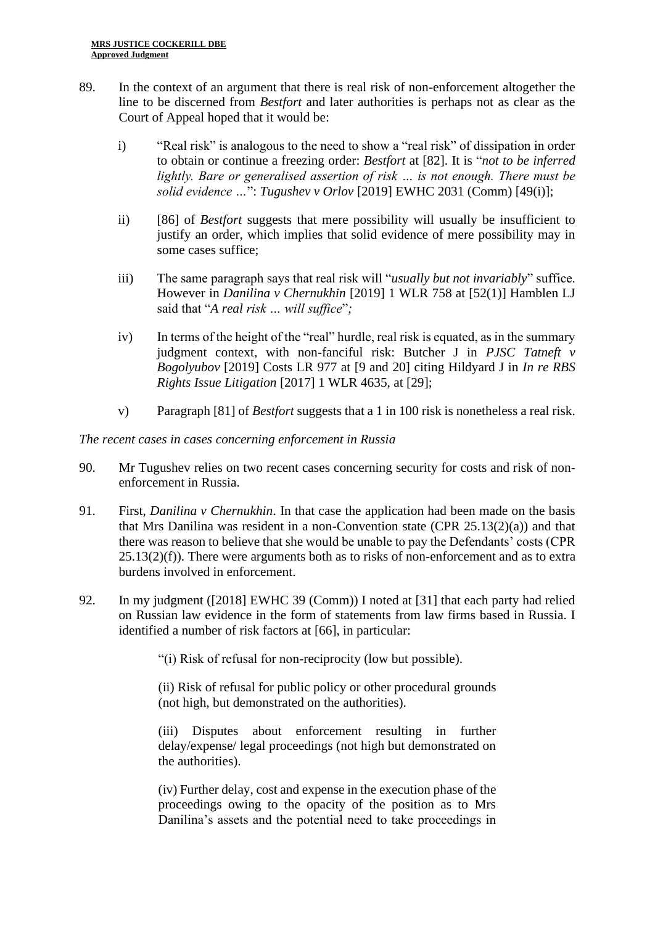- 89. In the context of an argument that there is real risk of non-enforcement altogether the line to be discerned from *Bestfort* and later authorities is perhaps not as clear as the Court of Appeal hoped that it would be:
	- i) "Real risk" is analogous to the need to show a "real risk" of dissipation in order to obtain or continue a freezing order: *Bestfort* at [82]. It is "*not to be inferred lightly. Bare or generalised assertion of risk … is not enough. There must be solid evidence …*": *Tugushev v Orlov* [2019] EWHC 2031 (Comm) [49(i)];
	- ii) [86] of *Bestfort* suggests that mere possibility will usually be insufficient to justify an order, which implies that solid evidence of mere possibility may in some cases suffice;
	- iii) The same paragraph says that real risk will "*usually but not invariably*" suffice. However in *Danilina v Chernukhin* [2019] 1 WLR 758 at [52(1)] Hamblen LJ said that "*A real risk … will suffice*"*;*
	- iv) In terms of the height of the "real" hurdle, real risk is equated, as in the summary judgment context, with non-fanciful risk: Butcher J in *PJSC Tatneft v Bogolyubov* [2019] Costs LR 977 at [9 and 20] citing Hildyard J in *In re RBS Rights Issue Litigation* [2017] 1 WLR 4635, at [29];
	- v) Paragraph [81] of *Bestfort* suggests that a 1 in 100 risk is nonetheless a real risk.

*The recent cases in cases concerning enforcement in Russia*

- 90. Mr Tugushev relies on two recent cases concerning security for costs and risk of nonenforcement in Russia.
- 91. First, *Danilina v Chernukhin*. In that case the application had been made on the basis that Mrs Danilina was resident in a non-Convention state (CPR  $25.13(2)(a)$ ) and that there was reason to believe that she would be unable to pay the Defendants' costs (CPR  $25.13(2)(f)$ ). There were arguments both as to risks of non-enforcement and as to extra burdens involved in enforcement.
- 92. In my judgment ([2018] EWHC 39 (Comm)) I noted at [31] that each party had relied on Russian law evidence in the form of statements from law firms based in Russia. I identified a number of risk factors at [66], in particular:

"(i) Risk of refusal for non-reciprocity (low but possible).

(ii) Risk of refusal for public policy or other procedural grounds (not high, but demonstrated on the authorities).

(iii) Disputes about enforcement resulting in further delay/expense/ legal proceedings (not high but demonstrated on the authorities).

(iv) Further delay, cost and expense in the execution phase of the proceedings owing to the opacity of the position as to Mrs Danilina's assets and the potential need to take proceedings in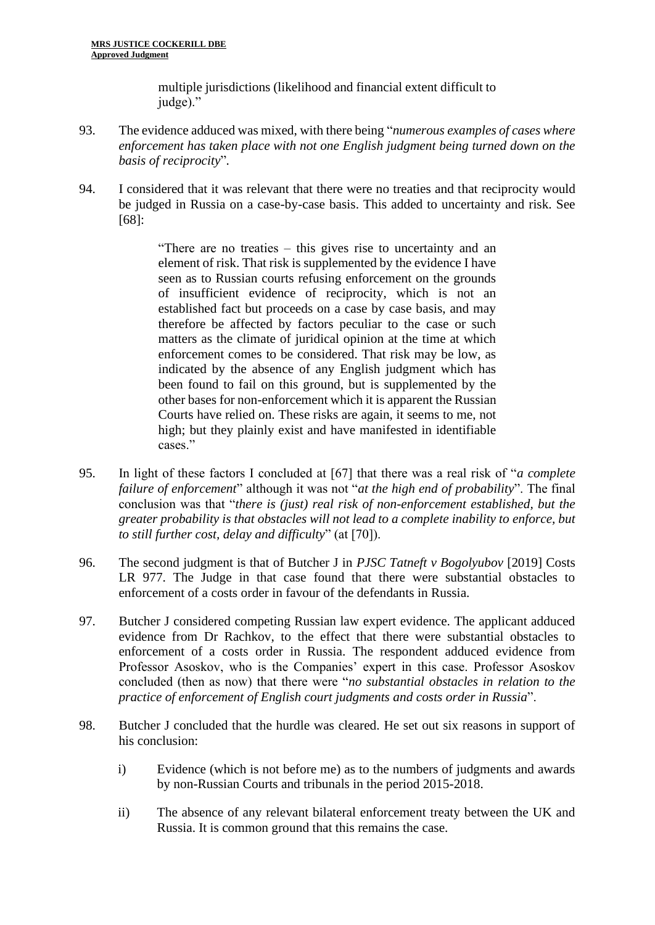multiple jurisdictions (likelihood and financial extent difficult to judge)."

- 93. The evidence adduced was mixed, with there being "*numerous examples of cases where enforcement has taken place with not one English judgment being turned down on the basis of reciprocity*"*.*
- 94. I considered that it was relevant that there were no treaties and that reciprocity would be judged in Russia on a case-by-case basis. This added to uncertainty and risk. See [68]:

"There are no treaties – this gives rise to uncertainty and an element of risk. That risk is supplemented by the evidence I have seen as to Russian courts refusing enforcement on the grounds of insufficient evidence of reciprocity, which is not an established fact but proceeds on a case by case basis, and may therefore be affected by factors peculiar to the case or such matters as the climate of juridical opinion at the time at which enforcement comes to be considered. That risk may be low, as indicated by the absence of any English judgment which has been found to fail on this ground, but is supplemented by the other bases for non-enforcement which it is apparent the Russian Courts have relied on. These risks are again, it seems to me, not high; but they plainly exist and have manifested in identifiable cases."

- 95. In light of these factors I concluded at [67] that there was a real risk of "*a complete failure of enforcement*" although it was not "*at the high end of probability*". The final conclusion was that "*there is (just) real risk of non-enforcement established, but the greater probability is that obstacles will not lead to a complete inability to enforce, but to still further cost, delay and difficulty*" (at [70]).
- 96. The second judgment is that of Butcher J in *PJSC Tatneft v Bogolyubov* [2019] Costs LR 977. The Judge in that case found that there were substantial obstacles to enforcement of a costs order in favour of the defendants in Russia.
- 97. Butcher J considered competing Russian law expert evidence. The applicant adduced evidence from Dr Rachkov, to the effect that there were substantial obstacles to enforcement of a costs order in Russia. The respondent adduced evidence from Professor Asoskov, who is the Companies' expert in this case. Professor Asoskov concluded (then as now) that there were "*no substantial obstacles in relation to the practice of enforcement of English court judgments and costs order in Russia*".
- 98. Butcher J concluded that the hurdle was cleared. He set out six reasons in support of his conclusion:
	- i) Evidence (which is not before me) as to the numbers of judgments and awards by non-Russian Courts and tribunals in the period 2015-2018.
	- ii) The absence of any relevant bilateral enforcement treaty between the UK and Russia. It is common ground that this remains the case.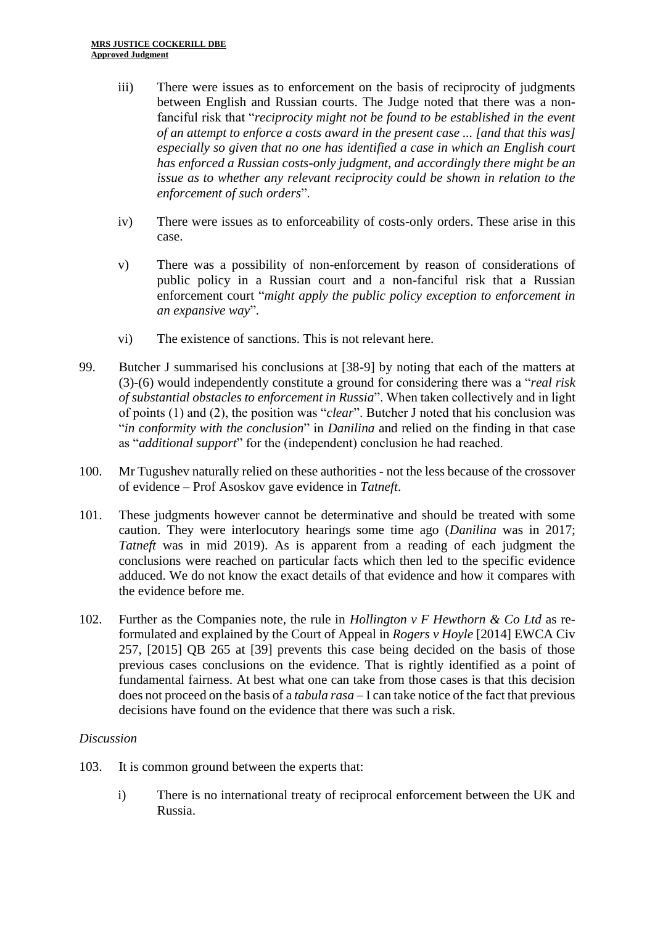- iii) There were issues as to enforcement on the basis of reciprocity of judgments between English and Russian courts. The Judge noted that there was a nonfanciful risk that "*reciprocity might not be found to be established in the event of an attempt to enforce a costs award in the present case ... [and that this was] especially so given that no one has identified a case in which an English court has enforced a Russian costs-only judgment, and accordingly there might be an issue as to whether any relevant reciprocity could be shown in relation to the enforcement of such orders*".
- iv) There were issues as to enforceability of costs-only orders. These arise in this case.
- v) There was a possibility of non-enforcement by reason of considerations of public policy in a Russian court and a non-fanciful risk that a Russian enforcement court "*might apply the public policy exception to enforcement in an expansive way*".
- vi) The existence of sanctions. This is not relevant here.
- 99. Butcher J summarised his conclusions at [38-9] by noting that each of the matters at (3)-(6) would independently constitute a ground for considering there was a "*real risk of substantial obstacles to enforcement in Russia*". When taken collectively and in light of points (1) and (2), the position was "*clear*". Butcher J noted that his conclusion was "*in conformity with the conclusion*" in *Danilina* and relied on the finding in that case as "*additional support*" for the (independent) conclusion he had reached.
- 100. Mr Tugushev naturally relied on these authorities not the less because of the crossover of evidence – Prof Asoskov gave evidence in *Tatneft*.
- 101. These judgments however cannot be determinative and should be treated with some caution. They were interlocutory hearings some time ago (*Danilina* was in 2017; *Tatneft* was in mid 2019). As is apparent from a reading of each judgment the conclusions were reached on particular facts which then led to the specific evidence adduced. We do not know the exact details of that evidence and how it compares with the evidence before me.
- 102. Further as the Companies note, the rule in *Hollington v F Hewthorn & Co Ltd* as reformulated and explained by the Court of Appeal in *Rogers v Hoyle* [2014] EWCA Civ 257, [2015] QB 265 at [39] prevents this case being decided on the basis of those previous cases conclusions on the evidence. That is rightly identified as a point of fundamental fairness. At best what one can take from those cases is that this decision does not proceed on the basis of a *tabula rasa* – I can take notice of the fact that previous decisions have found on the evidence that there was such a risk.

## *Discussion*

- 103. It is common ground between the experts that:
	- i) There is no international treaty of reciprocal enforcement between the UK and Russia.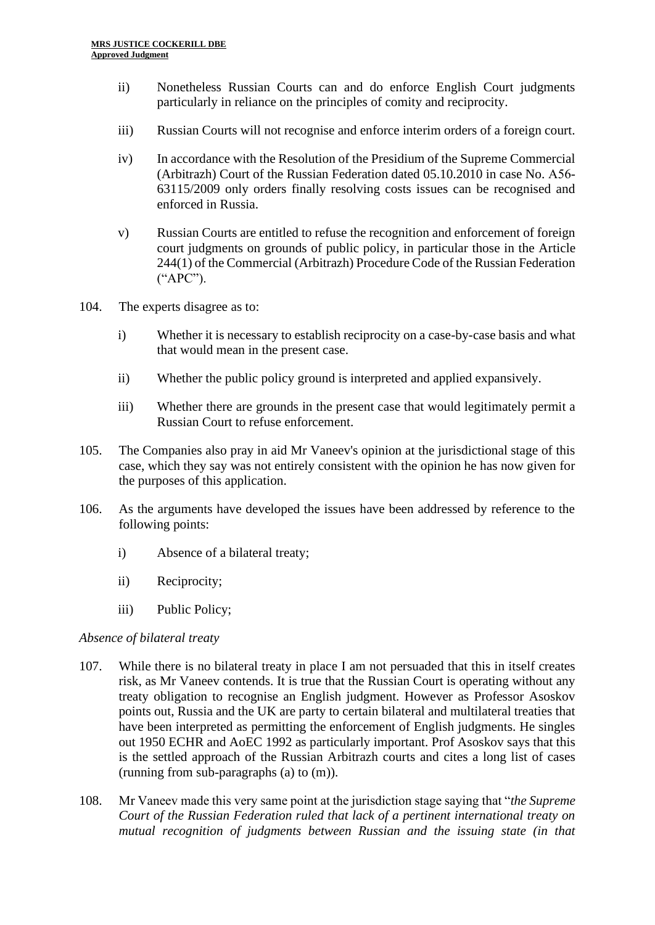- ii) Nonetheless Russian Courts can and do enforce English Court judgments particularly in reliance on the principles of comity and reciprocity.
- iii) Russian Courts will not recognise and enforce interim orders of a foreign court.
- iv) In accordance with the Resolution of the Presidium of the Supreme Commercial (Arbitrazh) Court of the Russian Federation dated 05.10.2010 in case No. А56- 63115/2009 only orders finally resolving costs issues can be recognised and enforced in Russia.
- v) Russian Courts are entitled to refuse the recognition and enforcement of foreign court judgments on grounds of public policy, in particular those in the Article 244(1) of the Commercial (Arbitrazh) Procedure Code of the Russian Federation ("APC").
- 104. The experts disagree as to:
	- i) Whether it is necessary to establish reciprocity on a case-by-case basis and what that would mean in the present case.
	- ii) Whether the public policy ground is interpreted and applied expansively.
	- iii) Whether there are grounds in the present case that would legitimately permit a Russian Court to refuse enforcement.
- 105. The Companies also pray in aid Mr Vaneev's opinion at the jurisdictional stage of this case, which they say was not entirely consistent with the opinion he has now given for the purposes of this application.
- 106. As the arguments have developed the issues have been addressed by reference to the following points:
	- i) Absence of a bilateral treaty;
	- ii) Reciprocity;
	- iii) Public Policy;

### *Absence of bilateral treaty*

- 107. While there is no bilateral treaty in place I am not persuaded that this in itself creates risk, as Mr Vaneev contends. It is true that the Russian Court is operating without any treaty obligation to recognise an English judgment. However as Professor Asoskov points out, Russia and the UK are party to certain bilateral and multilateral treaties that have been interpreted as permitting the enforcement of English judgments. He singles out 1950 ECHR and AoEC 1992 as particularly important. Prof Asoskov says that this is the settled approach of the Russian Arbitrazh courts and cites a long list of cases (running from sub-paragraphs (a) to (m)).
- 108. Mr Vaneev made this very same point at the jurisdiction stage saying that "*the Supreme Court of the Russian Federation ruled that lack of a pertinent international treaty on mutual recognition of judgments between Russian and the issuing state (in that*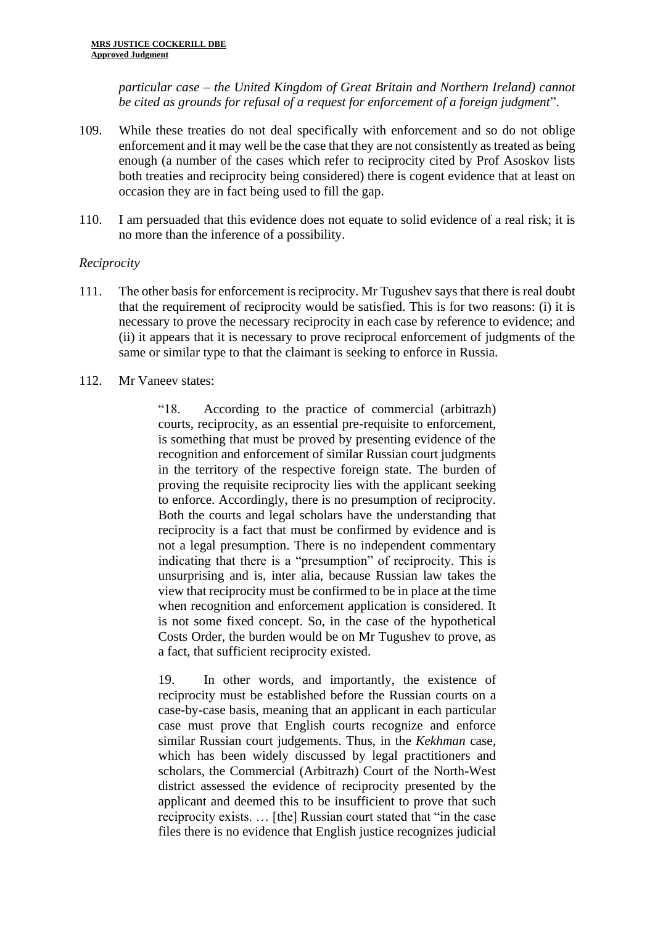*particular case – the United Kingdom of Great Britain and Northern Ireland) cannot be cited as grounds for refusal of a request for enforcement of a foreign judgment*".

- 109. While these treaties do not deal specifically with enforcement and so do not oblige enforcement and it may well be the case that they are not consistently as treated as being enough (a number of the cases which refer to reciprocity cited by Prof Asoskov lists both treaties and reciprocity being considered) there is cogent evidence that at least on occasion they are in fact being used to fill the gap.
- 110. I am persuaded that this evidence does not equate to solid evidence of a real risk; it is no more than the inference of a possibility.

## *Reciprocity*

- 111. The other basis for enforcement is reciprocity. Mr Tugushev says that there is real doubt that the requirement of reciprocity would be satisfied. This is for two reasons: (i) it is necessary to prove the necessary reciprocity in each case by reference to evidence; and (ii) it appears that it is necessary to prove reciprocal enforcement of judgments of the same or similar type to that the claimant is seeking to enforce in Russia.
- 112. Mr Vaneev states:

"18. According to the practice of commercial (arbitrazh) courts, reciprocity, as an essential pre-requisite to enforcement, is something that must be proved by presenting evidence of the recognition and enforcement of similar Russian court judgments in the territory of the respective foreign state. The burden of proving the requisite reciprocity lies with the applicant seeking to enforce. Accordingly, there is no presumption of reciprocity. Both the courts and legal scholars have the understanding that reciprocity is a fact that must be confirmed by evidence and is not a legal presumption. There is no independent commentary indicating that there is a "presumption" of reciprocity. This is unsurprising and is, inter alia, because Russian law takes the view that reciprocity must be confirmed to be in place at the time when recognition and enforcement application is considered. It is not some fixed concept. So, in the case of the hypothetical Costs Order, the burden would be on Mr Tugushev to prove, as a fact, that sufficient reciprocity existed.

19. In other words, and importantly, the existence of reciprocity must be established before the Russian courts on a case-by-case basis, meaning that an applicant in each particular case must prove that English courts recognize and enforce similar Russian court judgements. Thus, in the *Kekhman* case, which has been widely discussed by legal practitioners and scholars, the Commercial (Arbitrazh) Court of the North-West district assessed the evidence of reciprocity presented by the applicant and deemed this to be insufficient to prove that such reciprocity exists. … [the] Russian court stated that "in the case files there is no evidence that English justice recognizes judicial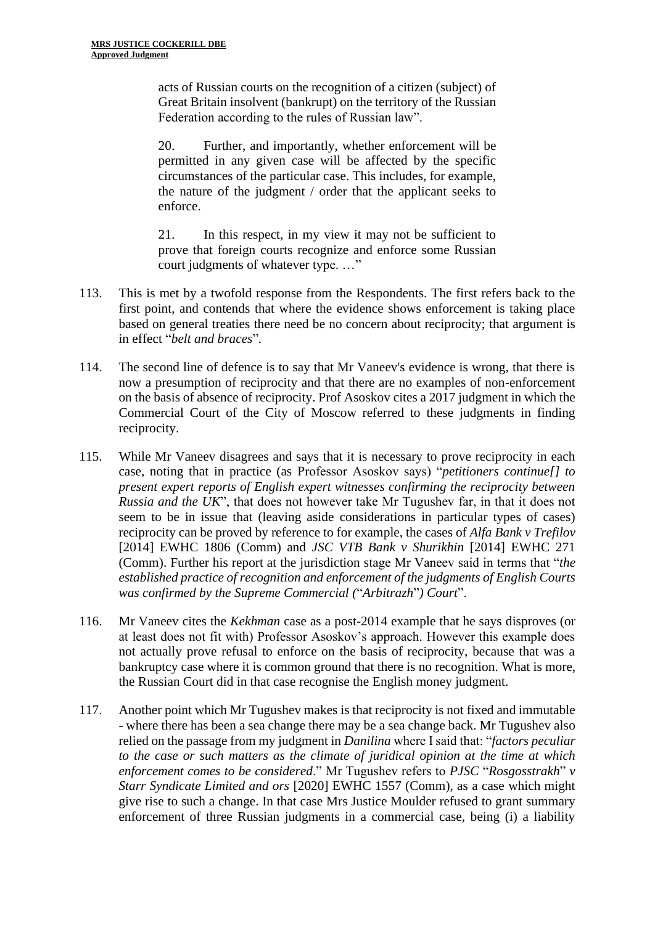acts of Russian courts on the recognition of a citizen (subject) of Great Britain insolvent (bankrupt) on the territory of the Russian Federation according to the rules of Russian law".

20. Further, and importantly, whether enforcement will be permitted in any given case will be affected by the specific circumstances of the particular case. This includes, for example, the nature of the judgment / order that the applicant seeks to enforce.

21. In this respect, in my view it may not be sufficient to prove that foreign courts recognize and enforce some Russian court judgments of whatever type. …"

- 113. This is met by a twofold response from the Respondents. The first refers back to the first point, and contends that where the evidence shows enforcement is taking place based on general treaties there need be no concern about reciprocity; that argument is in effect "*belt and braces*"*.*
- 114. The second line of defence is to say that Mr Vaneev's evidence is wrong, that there is now a presumption of reciprocity and that there are no examples of non-enforcement on the basis of absence of reciprocity. Prof Asoskov cites a 2017 judgment in which the Commercial Court of the City of Moscow referred to these judgments in finding reciprocity.
- 115. While Mr Vaneev disagrees and says that it is necessary to prove reciprocity in each case, noting that in practice (as Professor Asoskov says) "*petitioners continue[] to present expert reports of English expert witnesses confirming the reciprocity between Russia and the UK*", that does not however take Mr Tugushev far, in that it does not seem to be in issue that (leaving aside considerations in particular types of cases) reciprocity can be proved by reference to for example, the cases of *Alfa Bank v Trefilov*  [2014] EWHC 1806 (Comm) and *JSC VTB Bank v Shurikhin* [2014] EWHC 271 (Comm). Further his report at the jurisdiction stage Mr Vaneev said in terms that "*the established practice of recognition and enforcement of the judgments of English Courts was confirmed by the Supreme Commercial (*"*Arbitrazh*"*) Court*".
- 116. Mr Vaneev cites the *Kekhman* case as a post-2014 example that he says disproves (or at least does not fit with) Professor Asoskov's approach. However this example does not actually prove refusal to enforce on the basis of reciprocity, because that was a bankruptcy case where it is common ground that there is no recognition. What is more, the Russian Court did in that case recognise the English money judgment.
- 117. Another point which Mr Tugushev makes is that reciprocity is not fixed and immutable - where there has been a sea change there may be a sea change back. Mr Tugushev also relied on the passage from my judgment in *Danilina* where I said that: "*factors peculiar to the case or such matters as the climate of juridical opinion at the time at which enforcement comes to be considered*." Mr Tugushev refers to *PJSC* "*Rosgosstrakh*" *v Starr Syndicate Limited and ors* [2020] EWHC 1557 (Comm), as a case which might give rise to such a change. In that case Mrs Justice Moulder refused to grant summary enforcement of three Russian judgments in a commercial case, being (i) a liability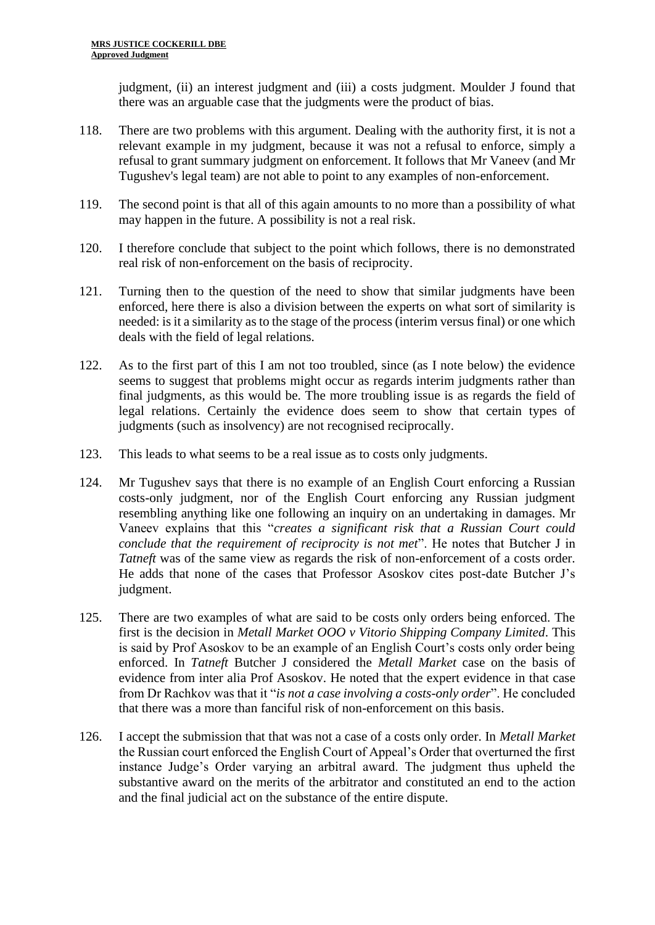judgment, (ii) an interest judgment and (iii) a costs judgment. Moulder J found that there was an arguable case that the judgments were the product of bias.

- 118. There are two problems with this argument. Dealing with the authority first, it is not a relevant example in my judgment, because it was not a refusal to enforce, simply a refusal to grant summary judgment on enforcement. It follows that Mr Vaneev (and Mr Tugushev's legal team) are not able to point to any examples of non-enforcement.
- 119. The second point is that all of this again amounts to no more than a possibility of what may happen in the future. A possibility is not a real risk.
- 120. I therefore conclude that subject to the point which follows, there is no demonstrated real risk of non-enforcement on the basis of reciprocity.
- 121. Turning then to the question of the need to show that similar judgments have been enforced, here there is also a division between the experts on what sort of similarity is needed: is it a similarity as to the stage of the process (interim versus final) or one which deals with the field of legal relations.
- 122. As to the first part of this I am not too troubled, since (as I note below) the evidence seems to suggest that problems might occur as regards interim judgments rather than final judgments, as this would be. The more troubling issue is as regards the field of legal relations. Certainly the evidence does seem to show that certain types of judgments (such as insolvency) are not recognised reciprocally.
- 123. This leads to what seems to be a real issue as to costs only judgments.
- 124. Mr Tugushev says that there is no example of an English Court enforcing a Russian costs-only judgment, nor of the English Court enforcing any Russian judgment resembling anything like one following an inquiry on an undertaking in damages. Mr Vaneev explains that this "*creates a significant risk that a Russian Court could conclude that the requirement of reciprocity is not met*". He notes that Butcher J in *Tatneft* was of the same view as regards the risk of non-enforcement of a costs order. He adds that none of the cases that Professor Asoskov cites post-date Butcher J's judgment.
- 125. There are two examples of what are said to be costs only orders being enforced. The first is the decision in *Metall Market OOO v Vitorio Shipping Company Limited*. This is said by Prof Asoskov to be an example of an English Court's costs only order being enforced. In *Tatneft* Butcher J considered the *Metall Market* case on the basis of evidence from inter alia Prof Asoskov. He noted that the expert evidence in that case from Dr Rachkov was that it "*is not a case involving a costs-only order*". He concluded that there was a more than fanciful risk of non-enforcement on this basis.
- 126. I accept the submission that that was not a case of a costs only order. In *Metall Market* the Russian court enforced the English Court of Appeal's Order that overturned the first instance Judge's Order varying an arbitral award. The judgment thus upheld the substantive award on the merits of the arbitrator and constituted an end to the action and the final judicial act on the substance of the entire dispute.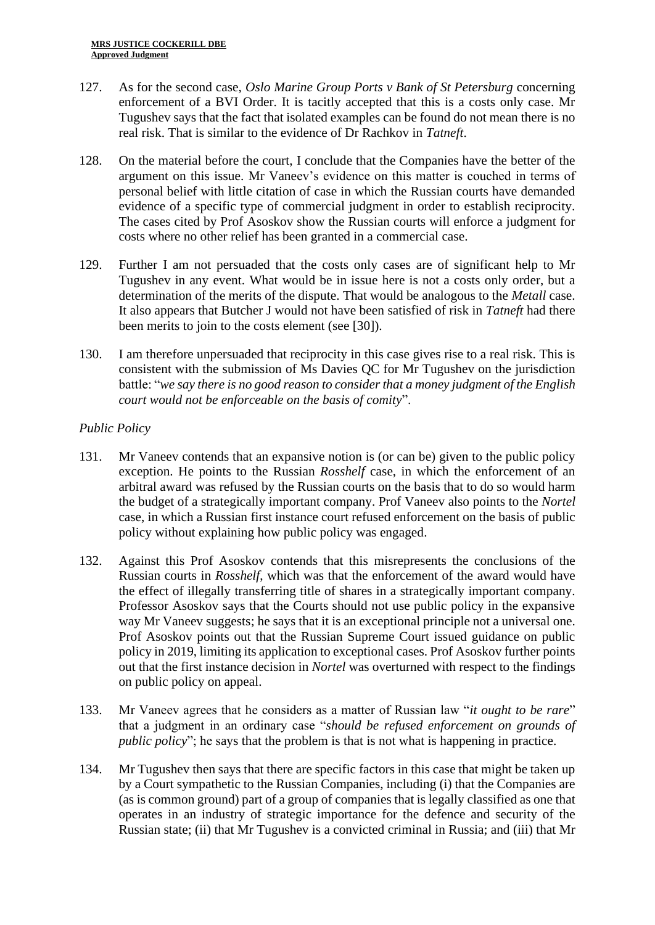- 127. As for the second case, *Oslo Marine Group Ports v Bank of St Petersburg* concerning enforcement of a BVI Order. It is tacitly accepted that this is a costs only case. Mr Tugushev says that the fact that isolated examples can be found do not mean there is no real risk. That is similar to the evidence of Dr Rachkov in *Tatneft*.
- 128. On the material before the court, I conclude that the Companies have the better of the argument on this issue. Mr Vaneev's evidence on this matter is couched in terms of personal belief with little citation of case in which the Russian courts have demanded evidence of a specific type of commercial judgment in order to establish reciprocity. The cases cited by Prof Asoskov show the Russian courts will enforce a judgment for costs where no other relief has been granted in a commercial case.
- 129. Further I am not persuaded that the costs only cases are of significant help to Mr Tugushev in any event. What would be in issue here is not a costs only order, but a determination of the merits of the dispute. That would be analogous to the *Metall* case. It also appears that Butcher J would not have been satisfied of risk in *Tatneft* had there been merits to join to the costs element (see [30]).
- 130. I am therefore unpersuaded that reciprocity in this case gives rise to a real risk. This is consistent with the submission of Ms Davies QC for Mr Tugushev on the jurisdiction battle: "*we say there is no good reason to consider that a money judgment of the English court would not be enforceable on the basis of comity*".

## *Public Policy*

- 131. Mr Vaneev contends that an expansive notion is (or can be) given to the public policy exception. He points to the Russian *Rosshelf* case, in which the enforcement of an arbitral award was refused by the Russian courts on the basis that to do so would harm the budget of a strategically important company. Prof Vaneev also points to the *Nortel* case, in which a Russian first instance court refused enforcement on the basis of public policy without explaining how public policy was engaged.
- 132. Against this Prof Asoskov contends that this misrepresents the conclusions of the Russian courts in *Rosshelf*, which was that the enforcement of the award would have the effect of illegally transferring title of shares in a strategically important company. Professor Asoskov says that the Courts should not use public policy in the expansive way Mr Vaneev suggests; he says that it is an exceptional principle not a universal one. Prof Asoskov points out that the Russian Supreme Court issued guidance on public policy in 2019, limiting its application to exceptional cases. Prof Asoskov further points out that the first instance decision in *Nortel* was overturned with respect to the findings on public policy on appeal.
- 133. Mr Vaneev agrees that he considers as a matter of Russian law "*it ought to be rare*" that a judgment in an ordinary case "*should be refused enforcement on grounds of public policy*"; he says that the problem is that is not what is happening in practice.
- 134. Mr Tugushev then says that there are specific factors in this case that might be taken up by a Court sympathetic to the Russian Companies, including (i) that the Companies are (as is common ground) part of a group of companies that is legally classified as one that operates in an industry of strategic importance for the defence and security of the Russian state; (ii) that Mr Tugushev is a convicted criminal in Russia; and (iii) that Mr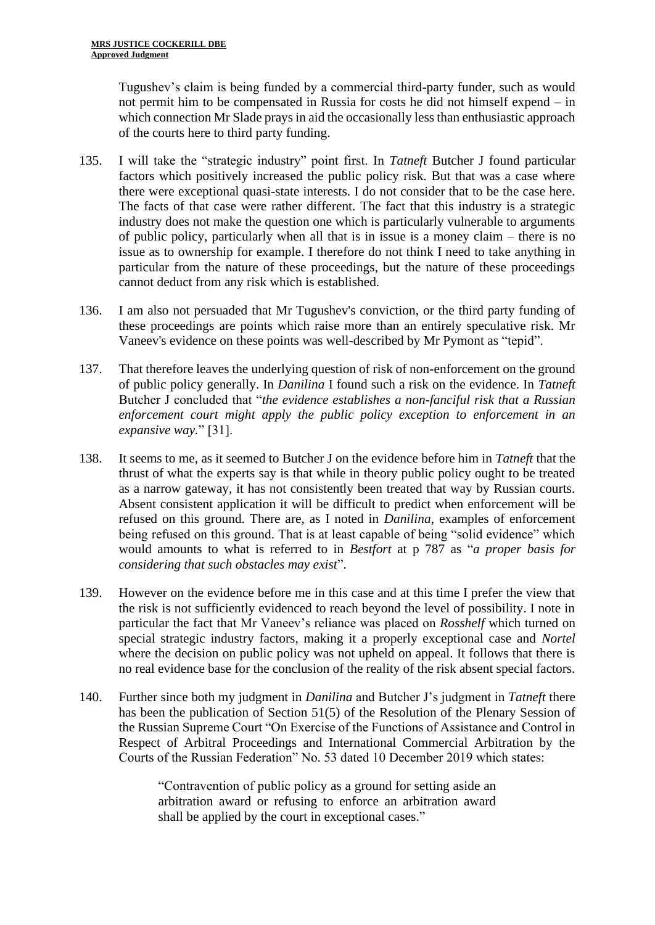Tugushev's claim is being funded by a commercial third-party funder, such as would not permit him to be compensated in Russia for costs he did not himself expend – in which connection Mr Slade prays in aid the occasionally less than enthusiastic approach of the courts here to third party funding.

- 135. I will take the "strategic industry" point first. In *Tatneft* Butcher J found particular factors which positively increased the public policy risk. But that was a case where there were exceptional quasi-state interests. I do not consider that to be the case here. The facts of that case were rather different. The fact that this industry is a strategic industry does not make the question one which is particularly vulnerable to arguments of public policy, particularly when all that is in issue is a money claim – there is no issue as to ownership for example. I therefore do not think I need to take anything in particular from the nature of these proceedings, but the nature of these proceedings cannot deduct from any risk which is established.
- 136. I am also not persuaded that Mr Tugushev's conviction, or the third party funding of these proceedings are points which raise more than an entirely speculative risk. Mr Vaneev's evidence on these points was well-described by Mr Pymont as "tepid".
- 137. That therefore leaves the underlying question of risk of non-enforcement on the ground of public policy generally. In *Danilina* I found such a risk on the evidence. In *Tatneft*  Butcher J concluded that "*the evidence establishes a non-fanciful risk that a Russian enforcement court might apply the public policy exception to enforcement in an expansive way.*" [31].
- 138. It seems to me, as it seemed to Butcher J on the evidence before him in *Tatneft* that the thrust of what the experts say is that while in theory public policy ought to be treated as a narrow gateway, it has not consistently been treated that way by Russian courts. Absent consistent application it will be difficult to predict when enforcement will be refused on this ground. There are, as I noted in *Danilina*, examples of enforcement being refused on this ground. That is at least capable of being "solid evidence" which would amounts to what is referred to in *Bestfort* at p 787 as "*a proper basis for considering that such obstacles may exist*".
- 139. However on the evidence before me in this case and at this time I prefer the view that the risk is not sufficiently evidenced to reach beyond the level of possibility. I note in particular the fact that Mr Vaneev's reliance was placed on *Rosshelf* which turned on special strategic industry factors, making it a properly exceptional case and *Nortel* where the decision on public policy was not upheld on appeal. It follows that there is no real evidence base for the conclusion of the reality of the risk absent special factors.
- 140. Further since both my judgment in *Danilina* and Butcher J's judgment in *Tatneft* there has been the publication of Section 51(5) of the Resolution of the Plenary Session of the Russian Supreme Court "On Exercise of the Functions of Assistance and Control in Respect of Arbitral Proceedings and International Commercial Arbitration by the Courts of the Russian Federation" No. 53 dated 10 December 2019 which states:

"Contravention of public policy as a ground for setting aside an arbitration award or refusing to enforce an arbitration award shall be applied by the court in exceptional cases."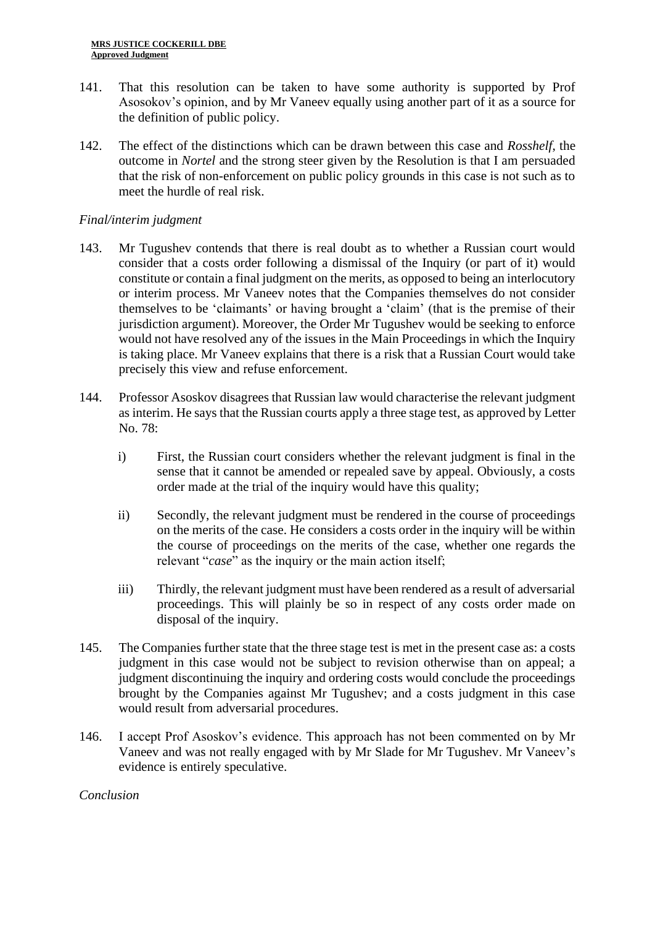- 141. That this resolution can be taken to have some authority is supported by Prof Asosokov's opinion, and by Mr Vaneev equally using another part of it as a source for the definition of public policy.
- 142. The effect of the distinctions which can be drawn between this case and *Rosshelf*, the outcome in *Nortel* and the strong steer given by the Resolution is that I am persuaded that the risk of non-enforcement on public policy grounds in this case is not such as to meet the hurdle of real risk.

## *Final/interim judgment*

- 143. Mr Tugushev contends that there is real doubt as to whether a Russian court would consider that a costs order following a dismissal of the Inquiry (or part of it) would constitute or contain a final judgment on the merits, as opposed to being an interlocutory or interim process. Mr Vaneev notes that the Companies themselves do not consider themselves to be 'claimants' or having brought a 'claim' (that is the premise of their jurisdiction argument). Moreover, the Order Mr Tugushev would be seeking to enforce would not have resolved any of the issues in the Main Proceedings in which the Inquiry is taking place. Mr Vaneev explains that there is a risk that a Russian Court would take precisely this view and refuse enforcement.
- 144. Professor Asoskov disagrees that Russian law would characterise the relevant judgment as interim. He says that the Russian courts apply a three stage test, as approved by Letter No. 78:
	- i) First, the Russian court considers whether the relevant judgment is final in the sense that it cannot be amended or repealed save by appeal. Obviously, a costs order made at the trial of the inquiry would have this quality;
	- ii) Secondly, the relevant judgment must be rendered in the course of proceedings on the merits of the case. He considers a costs order in the inquiry will be within the course of proceedings on the merits of the case, whether one regards the relevant "*case*" as the inquiry or the main action itself;
	- iii) Thirdly, the relevant judgment must have been rendered as a result of adversarial proceedings. This will plainly be so in respect of any costs order made on disposal of the inquiry.
- 145. The Companies further state that the three stage test is met in the present case as: a costs judgment in this case would not be subject to revision otherwise than on appeal; a judgment discontinuing the inquiry and ordering costs would conclude the proceedings brought by the Companies against Mr Tugushev; and a costs judgment in this case would result from adversarial procedures.
- 146. I accept Prof Asoskov's evidence. This approach has not been commented on by Mr Vaneev and was not really engaged with by Mr Slade for Mr Tugushev. Mr Vaneev's evidence is entirely speculative.

### *Conclusion*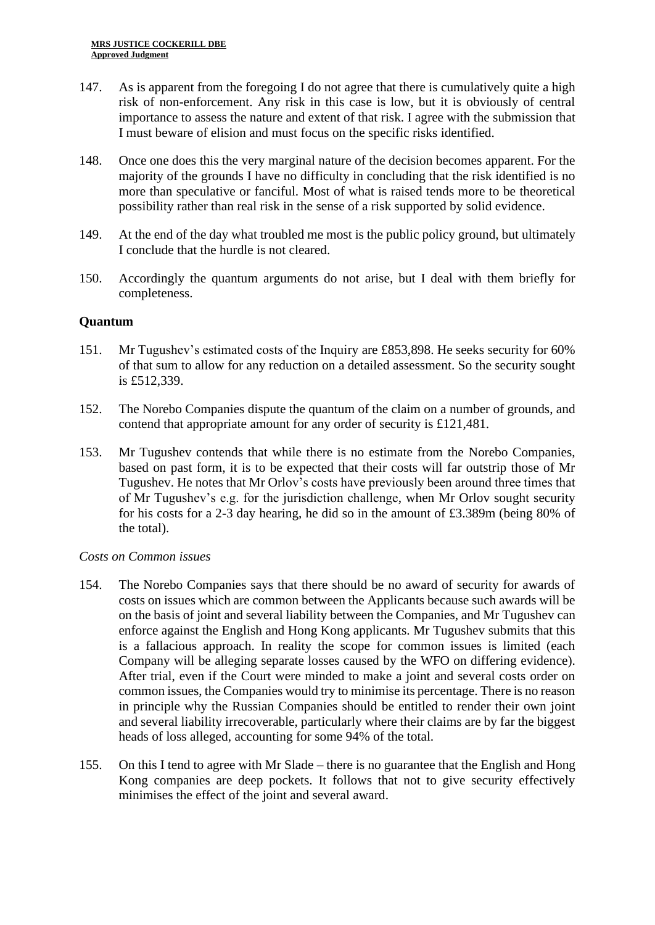- 147. As is apparent from the foregoing I do not agree that there is cumulatively quite a high risk of non-enforcement. Any risk in this case is low, but it is obviously of central importance to assess the nature and extent of that risk. I agree with the submission that I must beware of elision and must focus on the specific risks identified.
- 148. Once one does this the very marginal nature of the decision becomes apparent. For the majority of the grounds I have no difficulty in concluding that the risk identified is no more than speculative or fanciful. Most of what is raised tends more to be theoretical possibility rather than real risk in the sense of a risk supported by solid evidence.
- 149. At the end of the day what troubled me most is the public policy ground, but ultimately I conclude that the hurdle is not cleared.
- 150. Accordingly the quantum arguments do not arise, but I deal with them briefly for completeness.

## **Quantum**

- 151. Mr Tugushev's estimated costs of the Inquiry are £853,898. He seeks security for 60% of that sum to allow for any reduction on a detailed assessment. So the security sought is £512,339.
- 152. The Norebo Companies dispute the quantum of the claim on a number of grounds, and contend that appropriate amount for any order of security is £121,481.
- 153. Mr Tugushev contends that while there is no estimate from the Norebo Companies, based on past form, it is to be expected that their costs will far outstrip those of Mr Tugushev. He notes that Mr Orlov's costs have previously been around three times that of Mr Tugushev's e.g. for the jurisdiction challenge, when Mr Orlov sought security for his costs for a 2-3 day hearing, he did so in the amount of £3.389m (being 80% of the total).

### *Costs on Common issues*

- 154. The Norebo Companies says that there should be no award of security for awards of costs on issues which are common between the Applicants because such awards will be on the basis of joint and several liability between the Companies, and Mr Tugushev can enforce against the English and Hong Kong applicants. Mr Tugushev submits that this is a fallacious approach. In reality the scope for common issues is limited (each Company will be alleging separate losses caused by the WFO on differing evidence). After trial, even if the Court were minded to make a joint and several costs order on common issues, the Companies would try to minimise its percentage. There is no reason in principle why the Russian Companies should be entitled to render their own joint and several liability irrecoverable, particularly where their claims are by far the biggest heads of loss alleged, accounting for some 94% of the total.
- 155. On this I tend to agree with Mr Slade there is no guarantee that the English and Hong Kong companies are deep pockets. It follows that not to give security effectively minimises the effect of the joint and several award.